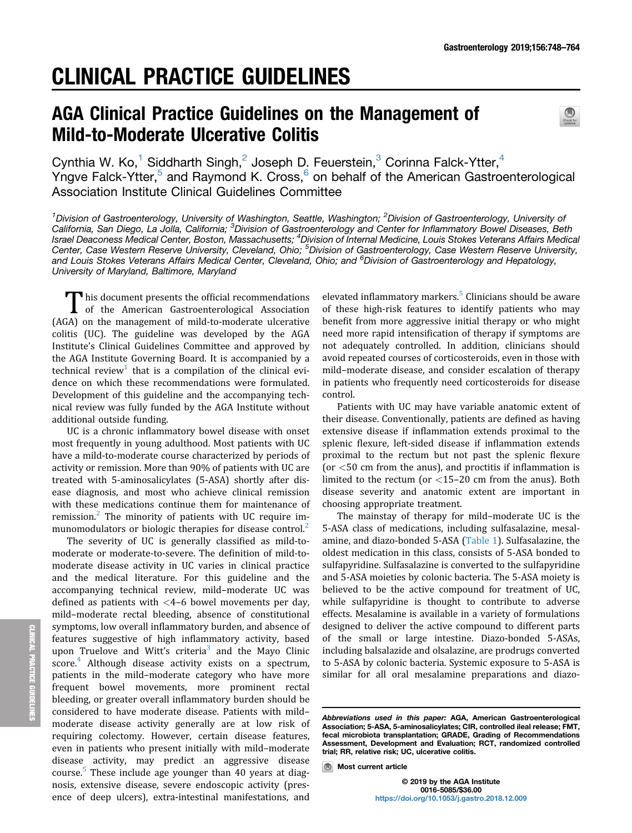# CLINICAL PRACTICE GUIDELINES

# AGA Clinical Practice Guidelines on the Management of Mild-to-Moderate Ulcerative Colitis



Cynthia W. Ko,<sup>1</sup> Siddharth Singh,<sup>2</sup> Joseph D. Feuerstein,<sup>3</sup> Corinna Falck-Ytter,<sup>4</sup> Yngve Falck-Ytter,<sup>5</sup> and Raymond K. Cross,<sup>6</sup> on behalf of the American Gastroenterological Association Institute Clinical Guidelines Committee

<sup>1</sup>Division of Gastroenterology, University of Washington, Seattle, Washington; <sup>2</sup>Division of Gastroenterology, University of California, San Diego, La Jolla, California; <sup>3</sup>Division of Gastroenterology and Center for Inflammatory Bowel Diseases, Beth Israel Deaconess Medical Center, Boston, Massachusetts; <sup>4</sup>Division of Internal Medicine, Louis Stokes Veterans Affairs Medical Center, Case Western Reserve University, Cleveland, Ohio; <sup>5</sup>Division of Gastroenterology, Case Western Reserve University, and Louis Stokes Veterans Affairs Medical Center, Cleveland, Ohio; and <sup>6</sup>Division of Gastroenterology and Hepatology, University of Maryland, Baltimore, Maryland

This document presents the official recommendations<br>of the American Gastroenterological Association (AGA) on the management of mild-to-moderate ulcerative colitis (UC). The guideline was developed by the AGA Institute's Clinical Guidelines Committee and approved by the AGA Institute Governing Board. It is accompanied by a technical review<sup>1</sup> that is a compilation of the clinical evidence on which these recommendations were formulated. Development of this guideline and the accompanying technical review was fully funded by the AGA Institute without additional outside funding.

UC is a chronic inflammatory bowel disease with onset most frequently in young adulthood. Most patients with UC have a mild-to-moderate course characterized by periods of activity or remission. More than 90% of patients with UC are treated with 5-aminosalicylates (5-ASA) shortly after disease diagnosis, and most who achieve clinical remission with these medications continue them for maintenance of remission. $2$  The minority of patients with UC require im-munomodulators or biologic therapies for disease control.<sup>[2](#page-10-0)</sup>

The severity of UC is generally classified as mild-tomoderate or moderate-to-severe. The definition of mild-tomoderate disease activity in UC varies in clinical practice and the medical literature. For this guideline and the accompanying technical review, mild–moderate UC was defined as patients with  $<$ 4–6 bowel movements per day, mild–moderate rectal bleeding, absence of constitutional symptoms, low overall inflammatory burden, and absence of features suggestive of high inflammatory activity, based upon Truelove and Witt's criteria<sup>3</sup> and the Mayo Clinic score.<sup>[4](#page-10-0)</sup> Although disease activity exists on a spectrum, patients in the mild–moderate category who have more frequent bowel movements, more prominent rectal bleeding, or greater overall inflammatory burden should be considered to have moderate disease. Patients with mild– moderate disease activity generally are at low risk of requiring colectomy. However, certain disease features, even in patients who present initially with mild–moderate disease activity, may predict an aggressive disease course.<sup>[5](#page-10-0)</sup> These include age younger than 40 years at diagnosis, extensive disease, severe endoscopic activity (presence of deep ulcers), extra-intestinal manifestations, and

elevated inflammatory markers.<sup>5</sup> Clinicians should be aware of these high-risk features to identify patients who may benefit from more aggressive initial therapy or who might need more rapid intensification of therapy if symptoms are not adequately controlled. In addition, clinicians should avoid repeated courses of corticosteroids, even in those with mild–moderate disease, and consider escalation of therapy in patients who frequently need corticosteroids for disease control.

Patients with UC may have variable anatomic extent of their disease. Conventionally, patients are defined as having extensive disease if inflammation extends proximal to the splenic flexure, left-sided disease if inflammation extends proximal to the rectum but not past the splenic flexure (or  $<$  50 cm from the anus), and proctitis if inflammation is limited to the rectum (or <15–20 cm from the anus). Both disease severity and anatomic extent are important in choosing appropriate treatment.

The mainstay of therapy for mild–moderate UC is the 5-ASA class of medications, including sulfasalazine, mesalamine, and diazo-bonded 5-ASA ([Table 1\)](#page-1-0). Sulfasalazine, the oldest medication in this class, consists of 5-ASA bonded to sulfapyridine. Sulfasalazine is converted to the sulfapyridine and 5-ASA moieties by colonic bacteria. The 5-ASA moiety is believed to be the active compound for treatment of UC, while sulfapyridine is thought to contribute to adverse effects. Mesalamine is available in a variety of formulations designed to deliver the active compound to different parts of the small or large intestine. Diazo-bonded 5-ASAs, including balsalazide and olsalazine, are prodrugs converted to 5-ASA by colonic bacteria. Systemic exposure to 5-ASA is similar for all oral mesalamine preparations and diazo-

Abbreviations used in this paper: AGA, American Gastroenterological Association; 5-ASA, 5-aminosalicylates; CIR, controlled ileal release; FMT, fecal microbiota transplantation; GRADE, Grading of Recommendations Assessment, Development and Evaluation; RCT, randomized controlled trial; RR, relative risk; UC, ulcerative colitis.

**Most current article**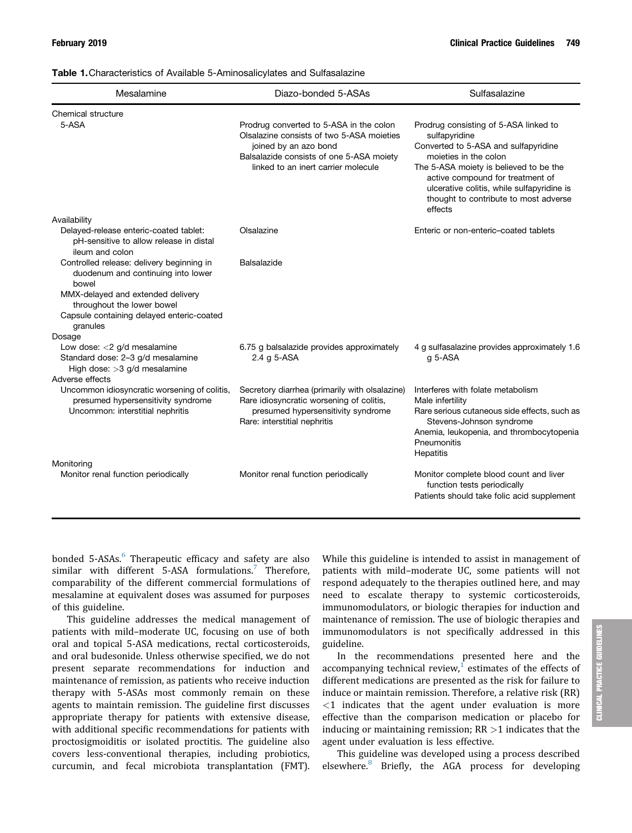<span id="page-1-0"></span>

| Table 1. Characteristics of Available 5-Aminosalicylates and Sulfasalazine |  |  |
|----------------------------------------------------------------------------|--|--|
|----------------------------------------------------------------------------|--|--|

| Mesalamine                                                                                                                                                                                                           | Diazo-bonded 5-ASAs                                                                                                                                                                              | Sulfasalazine                                                                                                                                                                                                                                                                                           |
|----------------------------------------------------------------------------------------------------------------------------------------------------------------------------------------------------------------------|--------------------------------------------------------------------------------------------------------------------------------------------------------------------------------------------------|---------------------------------------------------------------------------------------------------------------------------------------------------------------------------------------------------------------------------------------------------------------------------------------------------------|
| Chemical structure                                                                                                                                                                                                   |                                                                                                                                                                                                  |                                                                                                                                                                                                                                                                                                         |
| 5-ASA                                                                                                                                                                                                                | Prodrug converted to 5-ASA in the colon<br>Olsalazine consists of two 5-ASA moieties<br>joined by an azo bond<br>Balsalazide consists of one 5-ASA moiety<br>linked to an inert carrier molecule | Prodrug consisting of 5-ASA linked to<br>sulfapyridine<br>Converted to 5-ASA and sulfapyridine<br>moieties in the colon<br>The 5-ASA moiety is believed to be the<br>active compound for treatment of<br>ulcerative colitis, while sulfapyridine is<br>thought to contribute to most adverse<br>effects |
| Availability                                                                                                                                                                                                         |                                                                                                                                                                                                  |                                                                                                                                                                                                                                                                                                         |
| Delayed-release enteric-coated tablet:<br>pH-sensitive to allow release in distal<br>ileum and colon                                                                                                                 | Olsalazine                                                                                                                                                                                       | Enteric or non-enteric-coated tablets                                                                                                                                                                                                                                                                   |
| Controlled release: delivery beginning in<br>duodenum and continuing into lower<br>bowel<br>MMX-delayed and extended delivery<br>throughout the lower bowel<br>Capsule containing delayed enteric-coated<br>granules | Balsalazide                                                                                                                                                                                      |                                                                                                                                                                                                                                                                                                         |
| Dosage                                                                                                                                                                                                               |                                                                                                                                                                                                  |                                                                                                                                                                                                                                                                                                         |
| Low dose: < 2 g/d mesalamine<br>Standard dose: 2-3 g/d mesalamine<br>High dose: > 3 g/d mesalamine                                                                                                                   | 6.75 g balsalazide provides approximately<br>2.4 g 5-ASA                                                                                                                                         | 4 g sulfasalazine provides approximately 1.6<br>$g$ 5-ASA                                                                                                                                                                                                                                               |
| Adverse effects                                                                                                                                                                                                      |                                                                                                                                                                                                  |                                                                                                                                                                                                                                                                                                         |
| Uncommon idiosyncratic worsening of colitis,<br>presumed hypersensitivity syndrome<br>Uncommon: interstitial nephritis                                                                                               | Secretory diarrhea (primarily with olsalazine)<br>Rare idiosyncratic worsening of colitis,<br>presumed hypersensitivity syndrome<br>Rare: interstitial nephritis                                 | Interferes with folate metabolism<br>Male infertility<br>Rare serious cutaneous side effects, such as<br>Stevens-Johnson syndrome<br>Anemia, leukopenia, and thrombocytopenia<br>Pneumonitis<br>Hepatitis                                                                                               |
| Monitoring                                                                                                                                                                                                           |                                                                                                                                                                                                  |                                                                                                                                                                                                                                                                                                         |
| Monitor renal function periodically                                                                                                                                                                                  | Monitor renal function periodically                                                                                                                                                              | Monitor complete blood count and liver<br>function tests periodically<br>Patients should take folic acid supplement                                                                                                                                                                                     |

bonded 5-ASAs.<sup>[6](#page-10-0)</sup> Therapeutic efficacy and safety are also similar with different 5-ASA formulations.<sup>[7](#page-10-0)</sup> Therefore, comparability of the different commercial formulations of mesalamine at equivalent doses was assumed for purposes of this guideline.

This guideline addresses the medical management of patients with mild–moderate UC, focusing on use of both oral and topical 5-ASA medications, rectal corticosteroids, and oral budesonide. Unless otherwise specified, we do not present separate recommendations for induction and maintenance of remission, as patients who receive induction therapy with 5-ASAs most commonly remain on these agents to maintain remission. The guideline first discusses appropriate therapy for patients with extensive disease, with additional specific recommendations for patients with proctosigmoiditis or isolated proctitis. The guideline also covers less-conventional therapies, including probiotics, curcumin, and fecal microbiota transplantation (FMT).

While this guideline is intended to assist in management of patients with mild–moderate UC, some patients will not respond adequately to the therapies outlined here, and may need to escalate therapy to systemic corticosteroids, immunomodulators, or biologic therapies for induction and maintenance of remission. The use of biologic therapies and immunomodulators is not specifically addressed in this guideline.

In the recommendations presented here and the accompanying technical review, $\frac{1}{2}$  $\frac{1}{2}$  $\frac{1}{2}$  estimates of the effects of different medications are presented as the risk for failure to induce or maintain remission. Therefore, a relative risk (RR)  $<$ 1 indicates that the agent under evaluation is more effective than the comparison medication or placebo for inducing or maintaining remission;  $RR > 1$  indicates that the agent under evaluation is less effective.

This guideline was developed using a process described elsewhere.<sup>[8](#page-10-0)</sup> Briefly, the AGA process for developing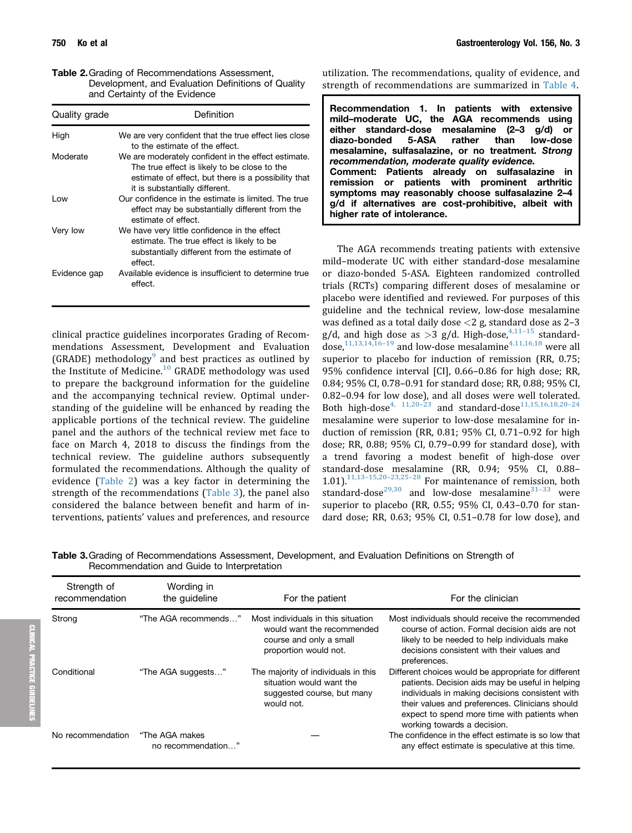Table 2.Grading of Recommendations Assessment, Development, and Evaluation Definitions of Quality and Certainty of the Evidence

| Quality grade | Definition                                                                                                                                                                                   |
|---------------|----------------------------------------------------------------------------------------------------------------------------------------------------------------------------------------------|
| High          | We are very confident that the true effect lies close<br>to the estimate of the effect.                                                                                                      |
| Moderate      | We are moderately confident in the effect estimate.<br>The true effect is likely to be close to the<br>estimate of effect, but there is a possibility that<br>it is substantially different. |
| l ow          | Our confidence in the estimate is limited. The true<br>effect may be substantially different from the<br>estimate of effect.                                                                 |
| Very low      | We have very little confidence in the effect<br>estimate. The true effect is likely to be<br>substantially different from the estimate of<br>effect.                                         |
| Evidence gap  | Available evidence is insufficient to determine true<br>effect.                                                                                                                              |

clinical practice guidelines incorporates Grading of Recommendations Assessment, Development and Evaluation (GRADE) methodology<sup>[9](#page-10-0)</sup> and best practices as outlined by the Institute of Medicine.[10](#page-10-0) GRADE methodology was used to prepare the background information for the guideline and the accompanying technical review. Optimal understanding of the guideline will be enhanced by reading the applicable portions of the technical review. The guideline panel and the authors of the technical review met face to face on March 4, 2018 to discuss the findings from the technical review. The guideline authors subsequently formulated the recommendations. Although the quality of evidence (Table 2) was a key factor in determining the strength of the recommendations (Table 3), the panel also considered the balance between benefit and harm of interventions, patients' values and preferences, and resource

utilization. The recommendations, quality of evidence, and strength of recommendations are summarized in [Table 4.](#page-3-0)

The AGA recommends treating patients with extensive mild–moderate UC with either standard-dose mesalamine or diazo-bonded 5-ASA. Eighteen randomized controlled trials (RCTs) comparing different doses of mesalamine or placebo were identified and reviewed. For purposes of this guideline and the technical review, low-dose mesalamine was defined as a total daily dose  $\langle 2 \text{ g} \rangle$ , standard dose as 2-3 g/d, and high dose as  $>3$  g/d. High-dose,  $4,11-15$  $4,11-15$  $4,11-15$  standarddose, $11,13,14,16-19$  $11,13,14,16-19$  $11,13,14,16-19$  and low-dose mesalamine<sup>[4,11,16,18](#page-10-0)</sup> were all superior to placebo for induction of remission (RR, 0.75; 95% confidence interval [CI], 0.66–0.86 for high dose; RR, 0.84; 95% CI, 0.78–0.91 for standard dose; RR, 0.88; 95% CI, 0.82–0.94 for low dose), and all doses were well tolerated. Both high-dose<sup>4, 11,20-[23](#page-10-0)</sup> and standard-dose<sup>[11,15,16,18,20](#page-10-0)-[24](#page-10-0)</sup> mesalamine were superior to low-dose mesalamine for induction of remission (RR, 0.81; 95% CI, 0.71–0.92 for high dose; RR, 0.88; 95% CI, 0.79–0.99 for standard dose), with a trend favoring a modest benefit of high-dose over standard-dose mesalamine (RR, 0.94; 95% CI, 0.88– 1.01).<sup>[11,13](#page-10-0)-[15,20](#page-10-0)-[23,25](#page-10-0)-[28](#page-10-0)</sup> For maintenance of remission, both standard-dose<sup>[29,30](#page-11-0)</sup> and low-dose mesalamine<sup>[31](#page-11-0)-[33](#page-11-0)</sup> were superior to placebo (RR, 0.55; 95% CI, 0.43–0.70 for standard dose; RR, 0.63; 95% CI, 0.51–0.78 for low dose), and

Table 3.Grading of Recommendations Assessment, Development, and Evaluation Definitions on Strength of Recommendation and Guide to Interpretation

| Strength of<br>recommendation | Wording in<br>the guideline          | For the patient                                                                                                      | For the clinician                                                                                                                                                                                                                                                                             |
|-------------------------------|--------------------------------------|----------------------------------------------------------------------------------------------------------------------|-----------------------------------------------------------------------------------------------------------------------------------------------------------------------------------------------------------------------------------------------------------------------------------------------|
| Strong                        | "The AGA recommends"                 | Most individuals in this situation<br>would want the recommended<br>course and only a small<br>proportion would not. | Most individuals should receive the recommended<br>course of action. Formal decision aids are not<br>likely to be needed to help individuals make<br>decisions consistent with their values and<br>preferences.                                                                               |
| Conditional                   | "The AGA suggests"                   | The majority of individuals in this<br>situation would want the<br>suggested course, but many<br>would not.          | Different choices would be appropriate for different<br>patients. Decision aids may be useful in helping<br>individuals in making decisions consistent with<br>their values and preferences. Clinicians should<br>expect to spend more time with patients when<br>working towards a decision. |
| No recommendation             | "The AGA makes<br>no recommendation" |                                                                                                                      | The confidence in the effect estimate is so low that<br>any effect estimate is speculative at this time.                                                                                                                                                                                      |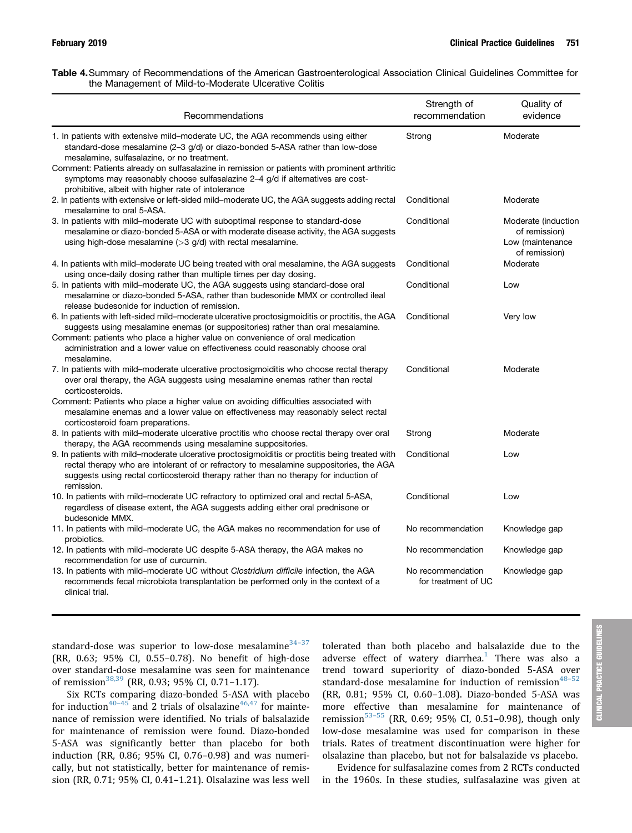<span id="page-3-0"></span>

| Table 4. Summary of Recommendations of the American Gastroenterological Association Clinical Guidelines Committee for |  |  |  |  |
|-----------------------------------------------------------------------------------------------------------------------|--|--|--|--|
| the Management of Mild-to-Moderate Ulcerative Colitis                                                                 |  |  |  |  |

| Recommendations                                                                                                                                                                                                                                                                                                                                                                                                                                          | Strength of<br>recommendation            | Quality of<br>evidence                                                    |
|----------------------------------------------------------------------------------------------------------------------------------------------------------------------------------------------------------------------------------------------------------------------------------------------------------------------------------------------------------------------------------------------------------------------------------------------------------|------------------------------------------|---------------------------------------------------------------------------|
| 1. In patients with extensive mild–moderate UC, the AGA recommends using either<br>standard-dose mesalamine (2–3 g/d) or diazo-bonded 5-ASA rather than low-dose<br>mesalamine, sulfasalazine, or no treatment.<br>Comment: Patients already on sulfasalazine in remission or patients with prominent arthritic<br>symptoms may reasonably choose sulfasalazine 2–4 g/d if alternatives are cost-<br>prohibitive, albeit with higher rate of intolerance | Strong                                   | Moderate                                                                  |
| 2. In patients with extensive or left-sided mild–moderate UC, the AGA suggests adding rectal<br>mesalamine to oral 5-ASA.                                                                                                                                                                                                                                                                                                                                | Conditional                              | Moderate                                                                  |
| 3. In patients with mild-moderate UC with suboptimal response to standard-dose<br>mesalamine or diazo-bonded 5-ASA or with moderate disease activity, the AGA suggests<br>using high-dose mesalamine $(>3$ g/d) with rectal mesalamine.                                                                                                                                                                                                                  | Conditional                              | Moderate (induction<br>of remission)<br>Low (maintenance<br>of remission) |
| 4. In patients with mild–moderate UC being treated with oral mesalamine, the AGA suggests<br>using once-daily dosing rather than multiple times per day dosing.                                                                                                                                                                                                                                                                                          | Conditional                              | Moderate                                                                  |
| 5. In patients with mild-moderate UC, the AGA suggests using standard-dose oral<br>mesalamine or diazo-bonded 5-ASA, rather than budesonide MMX or controlled ileal<br>release budesonide for induction of remission.                                                                                                                                                                                                                                    | Conditional                              | Low                                                                       |
| 6. In patients with left-sided mild-moderate ulcerative proctosigmoiditis or proctitis, the AGA<br>suggests using mesalamine enemas (or suppositories) rather than oral mesalamine.<br>Comment: patients who place a higher value on convenience of oral medication<br>administration and a lower value on effectiveness could reasonably choose oral<br>mesalamine.                                                                                     | Conditional                              | Very low                                                                  |
| 7. In patients with mild–moderate ulcerative proctosigmoiditis who choose rectal therapy<br>over oral therapy, the AGA suggests using mesalamine enemas rather than rectal<br>corticosteroids.                                                                                                                                                                                                                                                           | Conditional                              | Moderate                                                                  |
| Comment: Patients who place a higher value on avoiding difficulties associated with<br>mesalamine enemas and a lower value on effectiveness may reasonably select rectal<br>corticosteroid foam preparations.                                                                                                                                                                                                                                            |                                          |                                                                           |
| 8. In patients with mild–moderate ulcerative proctitis who choose rectal therapy over oral<br>therapy, the AGA recommends using mesalamine suppositories.                                                                                                                                                                                                                                                                                                | Strong                                   | Moderate                                                                  |
| 9. In patients with mild–moderate ulcerative proctosigmoiditis or proctitis being treated with<br>rectal therapy who are intolerant of or refractory to mesalamine suppositories, the AGA<br>suggests using rectal corticosteroid therapy rather than no therapy for induction of<br>remission.                                                                                                                                                          | Conditional                              | Low                                                                       |
| 10. In patients with mild–moderate UC refractory to optimized oral and rectal 5-ASA,<br>regardless of disease extent, the AGA suggests adding either oral prednisone or<br>budesonide MMX.                                                                                                                                                                                                                                                               | Conditional                              | Low                                                                       |
| 11. In patients with mild–moderate UC, the AGA makes no recommendation for use of<br>probiotics.                                                                                                                                                                                                                                                                                                                                                         | No recommendation                        | Knowledge gap                                                             |
| 12. In patients with mild-moderate UC despite 5-ASA therapy, the AGA makes no<br>recommendation for use of curcumin.                                                                                                                                                                                                                                                                                                                                     | No recommendation                        | Knowledge gap                                                             |
| 13. In patients with mild-moderate UC without Clostridium difficile infection, the AGA<br>recommends fecal microbiota transplantation be performed only in the context of a<br>clinical trial                                                                                                                                                                                                                                                            | No recommendation<br>for treatment of UC | Knowledge gap                                                             |

CLINICAL PRACTICE GUIDELINES**IICAL** 틚

standard-dose was superior to low-dose mesalamine $34-37$  $34-37$  $34-37$ (RR, 0.63; 95% CI, 0.55–0.78). No benefit of high-dose over standard-dose mesalamine was seen for maintenance of remission<sup>[38,39](#page-11-0)</sup> (RR, 0.93; 95% CI, 0.71-1.17).

Six RCTs comparing diazo-bonded 5-ASA with placebo for induction<sup>[40](#page-11-0)-[45](#page-11-0)</sup> and 2 trials of olsalazine<sup>46,47</sup> for maintenance of remission were identified. No trials of balsalazide for maintenance of remission were found. Diazo-bonded 5-ASA was significantly better than placebo for both induction (RR, 0.86; 95% CI, 0.76–0.98) and was numerically, but not statistically, better for maintenance of remission (RR, 0.71; 95% CI, 0.41–1.21). Olsalazine was less well tolerated than both placebo and balsalazide due to the adverse effect of watery diarrhea.<sup>[1](#page-10-0)</sup> There was also a trend toward superiority of diazo-bonded 5-ASA over standard-dose mesalamine for induction of remission $48-52$  $48-52$  $48-52$ (RR, 0.81; 95% CI, 0.60–1.08). Diazo-bonded 5-ASA was more effective than mesalamine for maintenance of remission $53-55$  $53-55$  $53-55$  (RR, 0.69; 95% CI, 0.51-0.98), though only low-dose mesalamine was used for comparison in these trials. Rates of treatment discontinuation were higher for olsalazine than placebo, but not for balsalazide vs placebo.

Evidence for sulfasalazine comes from 2 RCTs conducted in the 1960s. In these studies, sulfasalazine was given at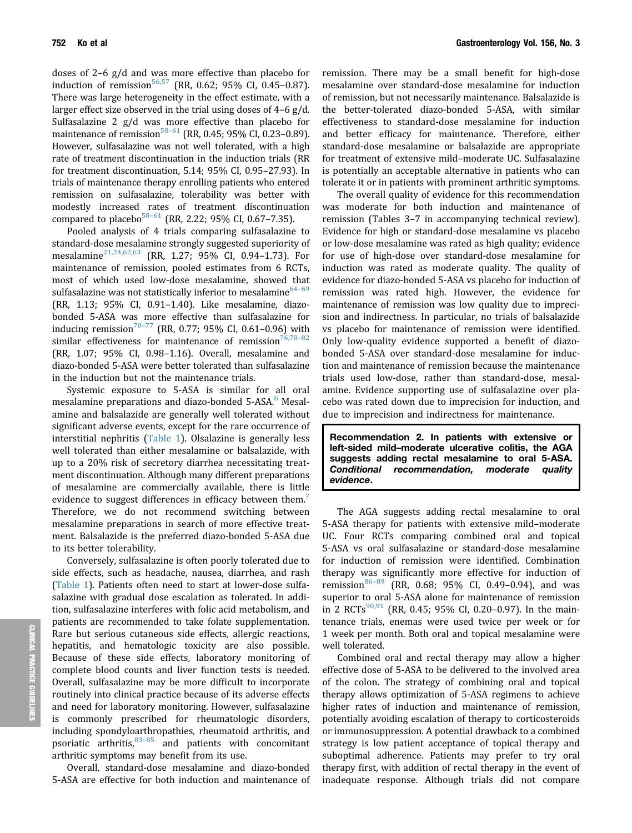doses of 2–6 g/d and was more effective than placebo for induction of remission<sup>56,57</sup> (RR, 0.62; 95% CI, 0.45-0.87). There was large heterogeneity in the effect estimate, with a larger effect size observed in the trial using doses of 4–6 g/d. Sulfasalazine 2 g/d was more effective than placebo for maintenance of remission<sup>[58](#page-12-0)-[61](#page-12-0)</sup> (RR, 0.45; 95% CI, 0.23-0.89). However, sulfasalazine was not well tolerated, with a high rate of treatment discontinuation in the induction trials (RR for treatment discontinuation, 5.14; 95% CI, 0.95–27.93). In trials of maintenance therapy enrolling patients who entered remission on sulfasalazine, tolerability was better with modestly increased rates of treatment discontinuation compared to placebo $58-61$  $58-61$  (RR, 2.22; 95% CI, 0.67-7.35).

Pooled analysis of 4 trials comparing sulfasalazine to standard-dose mesalamine strongly suggested superiority of mesalamine[21,24,62,63](#page-10-0) (RR, 1.27; 95% CI, 0.94–1.73). For maintenance of remission, pooled estimates from 6 RCTs, most of which used low-dose mesalamine, showed that sulfasalazine was not statistically inferior to mesalamine $64-69$  $64-69$ (RR, 1.13; 95% CI, 0.91–1.40). Like mesalamine, diazobonded 5-ASA was more effective than sulfasalazine for inducing remission<sup>70-[77](#page-12-0)</sup> (RR, 0.77; 95% CI, 0.61-0.96) with similar effectiveness for maintenance of remission<sup>76,78-[82](#page-12-0)</sup> (RR, 1.07; 95% CI, 0.98–1.16). Overall, mesalamine and diazo-bonded 5-ASA were better tolerated than sulfasalazine in the induction but not the maintenance trials.

Systemic exposure to 5-ASA is similar for all oral mesalamine preparations and diazo-bonded 5-ASA.<sup>6</sup> Mesalamine and balsalazide are generally well tolerated without significant adverse events, except for the rare occurrence of interstitial nephritis ([Table 1\)](#page-1-0). Olsalazine is generally less well tolerated than either mesalamine or balsalazide, with up to a 20% risk of secretory diarrhea necessitating treatment discontinuation. Although many different preparations of mesalamine are commercially available, there is little evidence to suggest differences in efficacy between them. Therefore, we do not recommend switching between mesalamine preparations in search of more effective treatment. Balsalazide is the preferred diazo-bonded 5-ASA due to its better tolerability.

Conversely, sulfasalazine is often poorly tolerated due to side effects, such as headache, nausea, diarrhea, and rash [\(Table 1](#page-1-0)). Patients often need to start at lower-dose sulfasalazine with gradual dose escalation as tolerated. In addition, sulfasalazine interferes with folic acid metabolism, and patients are recommended to take folate supplementation. Rare but serious cutaneous side effects, allergic reactions, hepatitis, and hematologic toxicity are also possible. Because of these side effects, laboratory monitoring of complete blood counts and liver function tests is needed. Overall, sulfasalazine may be more difficult to incorporate routinely into clinical practice because of its adverse effects and need for laboratory monitoring. However, sulfasalazine commonly prescribed for rheumatologic disorders, including spondyloarthropathies, rheumatoid arthritis, and psoriatic arthritis, $83-85$  $83-85$  $83-85$  and patients with concomitant arthritic symptoms may benefit from its use.

Overall, standard-dose mesalamine and diazo-bonded 5-ASA are effective for both induction and maintenance of

remission. There may be a small benefit for high-dose mesalamine over standard-dose mesalamine for induction of remission, but not necessarily maintenance. Balsalazide is the better-tolerated diazo-bonded 5-ASA, with similar effectiveness to standard-dose mesalamine for induction and better efficacy for maintenance. Therefore, either standard-dose mesalamine or balsalazide are appropriate for treatment of extensive mild–moderate UC. Sulfasalazine is potentially an acceptable alternative in patients who can tolerate it or in patients with prominent arthritic symptoms.

The overall quality of evidence for this recommendation was moderate for both induction and maintenance of remission (Tables 3–7 in accompanying technical review). Evidence for high or standard-dose mesalamine vs placebo or low-dose mesalamine was rated as high quality; evidence for use of high-dose over standard-dose mesalamine for induction was rated as moderate quality. The quality of evidence for diazo-bonded 5-ASA vs placebo for induction of remission was rated high. However, the evidence for maintenance of remission was low quality due to imprecision and indirectness. In particular, no trials of balsalazide vs placebo for maintenance of remission were identified. Only low-quality evidence supported a benefit of diazobonded 5-ASA over standard-dose mesalamine for induction and maintenance of remission because the maintenance trials used low-dose, rather than standard-dose, mesalamine. Evidence supporting use of sulfasalazine over placebo was rated down due to imprecision for induction, and due to imprecision and indirectness for maintenance.

Recommendation 2. In patients with extensive or left-sided mild–moderate ulcerative colitis, the AGA suggests adding rectal mesalamine to oral 5-ASA. Conditional recommendation, moderate quality evidence.

The AGA suggests adding rectal mesalamine to oral 5-ASA therapy for patients with extensive mild–moderate UC. Four RCTs comparing combined oral and topical 5-ASA vs oral sulfasalazine or standard-dose mesalamine for induction of remission were identified. Combination therapy was significantly more effective for induction of remission $86-89$  $86-89$  $86-89$  (RR, 0.68; 95% CI, 0.49-0.94), and was superior to oral 5-ASA alone for maintenance of remission in 2 RCTs<sup>[90,91](#page-13-0)</sup> (RR, 0.45; 95% CI, 0.20-0.97). In the maintenance trials, enemas were used twice per week or for 1 week per month. Both oral and topical mesalamine were well tolerated.

Combined oral and rectal therapy may allow a higher effective dose of 5-ASA to be delivered to the involved area of the colon. The strategy of combining oral and topical therapy allows optimization of 5-ASA regimens to achieve higher rates of induction and maintenance of remission, potentially avoiding escalation of therapy to corticosteroids or immunosuppression. A potential drawback to a combined strategy is low patient acceptance of topical therapy and suboptimal adherence. Patients may prefer to try oral therapy first, with addition of rectal therapy in the event of inadequate response. Although trials did not compare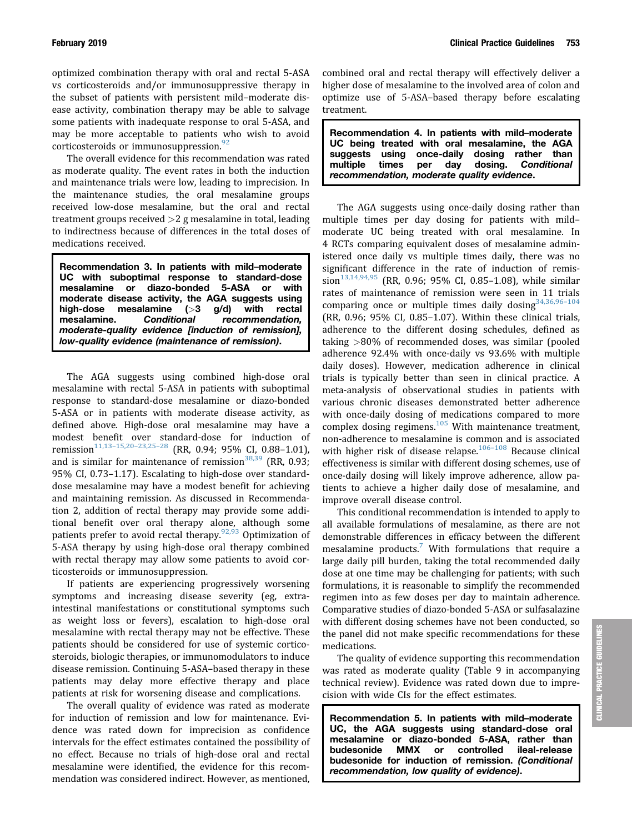optimized combination therapy with oral and rectal 5-ASA vs corticosteroids and/or immunosuppressive therapy in the subset of patients with persistent mild–moderate disease activity, combination therapy may be able to salvage some patients with inadequate response to oral 5-ASA, and may be more acceptable to patients who wish to avoid corticosteroids or immunosuppression. $92$ 

The overall evidence for this recommendation was rated as moderate quality. The event rates in both the induction and maintenance trials were low, leading to imprecision. In the maintenance studies, the oral mesalamine groups received low-dose mesalamine, but the oral and rectal treatment groups received  $>2$  g mesalamine in total, leading to indirectness because of differences in the total doses of medications received.

Recommendation 3. In patients with mild–moderate UC with suboptimal response to standard-dose mesalamine or diazo-bonded 5-ASA or with moderate disease activity, the AGA suggests using high-dose mesalamine (>3 g/d) with rectal mesalamine. Conditional recommendation, moderate-quality evidence [induction of remission], low-quality evidence (maintenance of remission).

The AGA suggests using combined high-dose oral mesalamine with rectal 5-ASA in patients with suboptimal response to standard-dose mesalamine or diazo-bonded 5-ASA or in patients with moderate disease activity, as defined above. High-dose oral mesalamine may have a modest benefit over standard-dose for induction of remission<sup>[11,13](#page-10-0)-[15,20](#page-10-0)-[23,25](#page-10-0)-[28](#page-10-0)</sup> (RR, 0.94; 95% CI, 0.88-1.01), and is similar for maintenance of remission $38,39$  (RR, 0.93; 95% CI, 0.73–1.17). Escalating to high-dose over standarddose mesalamine may have a modest benefit for achieving and maintaining remission. As discussed in Recommendation 2, addition of rectal therapy may provide some additional benefit over oral therapy alone, although some patients prefer to avoid rectal therapy.  $92,93$  Optimization of 5-ASA therapy by using high-dose oral therapy combined with rectal therapy may allow some patients to avoid corticosteroids or immunosuppression.

If patients are experiencing progressively worsening symptoms and increasing disease severity (eg, extraintestinal manifestations or constitutional symptoms such as weight loss or fevers), escalation to high-dose oral mesalamine with rectal therapy may not be effective. These patients should be considered for use of systemic corticosteroids, biologic therapies, or immunomodulators to induce disease remission. Continuing 5-ASA–based therapy in these patients may delay more effective therapy and place patients at risk for worsening disease and complications.

The overall quality of evidence was rated as moderate for induction of remission and low for maintenance. Evidence was rated down for imprecision as confidence intervals for the effect estimates contained the possibility of no effect. Because no trials of high-dose oral and rectal mesalamine were identified, the evidence for this recommendation was considered indirect. However, as mentioned, combined oral and rectal therapy will effectively deliver a higher dose of mesalamine to the involved area of colon and optimize use of 5-ASA–based therapy before escalating treatment.

Recommendation 4. In patients with mild–moderate UC being treated with oral mesalamine, the AGA<br>suggests using once-daily dosing rather than suggests using once-daily multiple times per day dosing. Conditional recommendation, moderate quality evidence.

The AGA suggests using once-daily dosing rather than multiple times per day dosing for patients with mild– moderate UC being treated with oral mesalamine. In 4 RCTs comparing equivalent doses of mesalamine administered once daily vs multiple times daily, there was no significant difference in the rate of induction of remis- $sion^{13,14,94,95}$  $sion^{13,14,94,95}$  $sion^{13,14,94,95}$  (RR, 0.96; 95% CI, 0.85-1.08), while similar rates of maintenance of remission were seen in 11 trials comparing once or multiple times daily dosing  $34,36,96-104$  $34,36,96-104$ (RR, 0.96; 95% CI, 0.85–1.07). Within these clinical trials, adherence to the different dosing schedules, defined as taking >80% of recommended doses, was similar (pooled adherence 92.4% with once-daily vs 93.6% with multiple daily doses). However, medication adherence in clinical trials is typically better than seen in clinical practice. A meta-analysis of observational studies in patients with various chronic diseases demonstrated better adherence with once-daily dosing of medications compared to more complex dosing regimens.<sup>[105](#page-13-0)</sup> With maintenance treatment, non-adherence to mesalamine is common and is associated with higher risk of disease relapse. $106-108$  $106-108$  $106-108$  Because clinical effectiveness is similar with different dosing schemes, use of once-daily dosing will likely improve adherence, allow patients to achieve a higher daily dose of mesalamine, and improve overall disease control.

This conditional recommendation is intended to apply to all available formulations of mesalamine, as there are not demonstrable differences in efficacy between the different mesalamine products.<sup>[7](#page-10-0)</sup> With formulations that require a large daily pill burden, taking the total recommended daily dose at one time may be challenging for patients; with such formulations, it is reasonable to simplify the recommended regimen into as few doses per day to maintain adherence. Comparative studies of diazo-bonded 5-ASA or sulfasalazine with different dosing schemes have not been conducted, so the panel did not make specific recommendations for these medications.

The quality of evidence supporting this recommendation was rated as moderate quality (Table 9 in accompanying technical review). Evidence was rated down due to imprecision with wide CIs for the effect estimates.

Recommendation 5. In patients with mild–moderate UC, the AGA suggests using standard-dose oral mesalamine or diazo-bonded 5-ASA, rather than budesonide MMX or controlled ileal-release budesonide for induction of remission. (Conditional recommendation, low quality of evidence).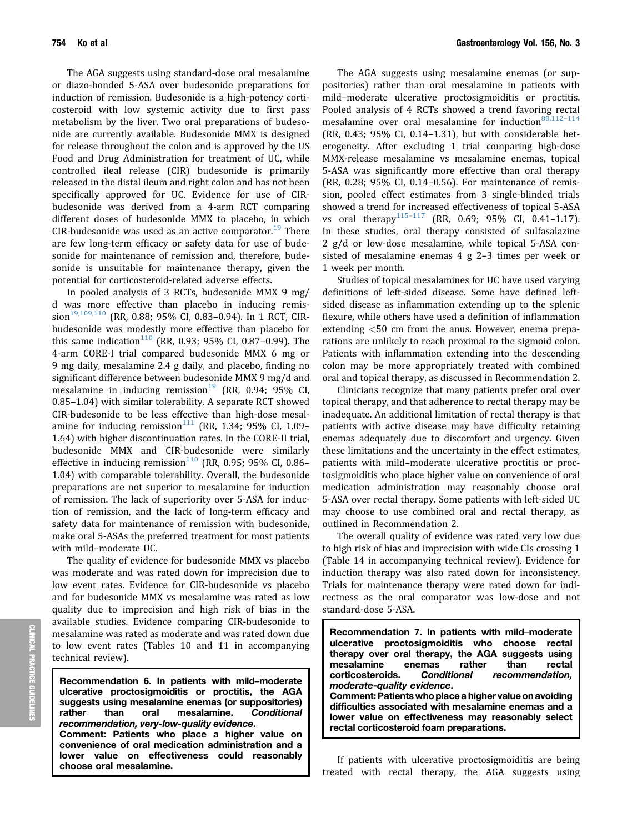The AGA suggests using standard-dose oral mesalamine or diazo-bonded 5-ASA over budesonide preparations for induction of remission. Budesonide is a high-potency corticosteroid with low systemic activity due to first pass metabolism by the liver. Two oral preparations of budesonide are currently available. Budesonide MMX is designed for release throughout the colon and is approved by the US Food and Drug Administration for treatment of UC, while controlled ileal release (CIR) budesonide is primarily released in the distal ileum and right colon and has not been specifically approved for UC. Evidence for use of CIRbudesonide was derived from a 4-arm RCT comparing different doses of budesonide MMX to placebo, in which CIR-budesonide was used as an active comparator.<sup>[19](#page-10-0)</sup> There are few long-term efficacy or safety data for use of budesonide for maintenance of remission and, therefore, budesonide is unsuitable for maintenance therapy, given the potential for corticosteroid-related adverse effects.

In pooled analysis of 3 RCTs, budesonide MMX 9 mg/ d was more effective than placebo in inducing remis-sion<sup>[19,109,110](#page-10-0)</sup> (RR, 0.88; 95% CI, 0.83-0.94). In 1 RCT, CIRbudesonide was modestly more effective than placebo for this same indication<sup>[110](#page-13-0)</sup> (RR, 0.93; 95% CI, 0.87-0.99). The 4-arm CORE-I trial compared budesonide MMX 6 mg or 9 mg daily, mesalamine 2.4 g daily, and placebo, finding no significant difference between budesonide MMX 9 mg/d and mesalamine in inducing remission<sup>[19](#page-10-0)</sup> (RR, 0.94; 95% CI, 0.85–1.04) with similar tolerability. A separate RCT showed CIR-budesonide to be less effective than high-dose mesalamine for inducing remission $111$  (RR, 1.34; 95% CI, 1.09-1.64) with higher discontinuation rates. In the CORE-II trial, budesonide MMX and CIR-budesonide were similarly effective in inducing remission<sup>[110](#page-13-0)</sup> (RR, 0.95; 95% CI, 0.86– 1.04) with comparable tolerability. Overall, the budesonide preparations are not superior to mesalamine for induction of remission. The lack of superiority over 5-ASA for induction of remission, and the lack of long-term efficacy and safety data for maintenance of remission with budesonide, make oral 5-ASAs the preferred treatment for most patients with mild–moderate UC.

The quality of evidence for budesonide MMX vs placebo was moderate and was rated down for imprecision due to low event rates. Evidence for CIR-budesonide vs placebo and for budesonide MMX vs mesalamine was rated as low quality due to imprecision and high risk of bias in the available studies. Evidence comparing CIR-budesonide to mesalamine was rated as moderate and was rated down due to low event rates (Tables 10 and 11 in accompanying technical review).

Recommendation 6. In patients with mild–moderate ulcerative proctosigmoiditis or proctitis, the AGA suggests using mesalamine enemas (or suppositories) rather than oral mesalamine. Conditional recommendation, very-low-quality evidence. Comment: Patients who place a higher value on convenience of oral medication administration and a lower value on effectiveness could reasonably choose oral mesalamine.

The AGA suggests using mesalamine enemas (or suppositories) rather than oral mesalamine in patients with mild–moderate ulcerative proctosigmoiditis or proctitis. Pooled analysis of 4 RCTs showed a trend favoring rectal mesalamine over oral mesalamine for induction<sup>[88,112](#page-13-0)-[114](#page-13-0)</sup> (RR, 0.43; 95% CI, 0.14–1.31), but with considerable heterogeneity. After excluding 1 trial comparing high-dose MMX-release mesalamine vs mesalamine enemas, topical 5-ASA was significantly more effective than oral therapy (RR, 0.28; 95% CI, 0.14–0.56). For maintenance of remission, pooled effect estimates from 3 single-blinded trials showed a trend for increased effectiveness of topical 5-ASA vs oral therapy<sup>115-[117](#page-14-0)</sup> (RR, 0.69; 95% CI, 0.41-1.17). In these studies, oral therapy consisted of sulfasalazine 2 g/d or low-dose mesalamine, while topical 5-ASA consisted of mesalamine enemas 4 g 2–3 times per week or 1 week per month.

Studies of topical mesalamines for UC have used varying definitions of left-sided disease. Some have defined leftsided disease as inflammation extending up to the splenic flexure, while others have used a definition of inflammation extending <50 cm from the anus. However, enema preparations are unlikely to reach proximal to the sigmoid colon. Patients with inflammation extending into the descending colon may be more appropriately treated with combined oral and topical therapy, as discussed in Recommendation 2.

Clinicians recognize that many patients prefer oral over topical therapy, and that adherence to rectal therapy may be inadequate. An additional limitation of rectal therapy is that patients with active disease may have difficulty retaining enemas adequately due to discomfort and urgency. Given these limitations and the uncertainty in the effect estimates, patients with mild–moderate ulcerative proctitis or proctosigmoiditis who place higher value on convenience of oral medication administration may reasonably choose oral 5-ASA over rectal therapy. Some patients with left-sided UC may choose to use combined oral and rectal therapy, as outlined in Recommendation 2.

The overall quality of evidence was rated very low due to high risk of bias and imprecision with wide CIs crossing 1 (Table 14 in accompanying technical review). Evidence for induction therapy was also rated down for inconsistency. Trials for maintenance therapy were rated down for indirectness as the oral comparator was low-dose and not standard-dose 5-ASA.

Recommendation 7. In patients with mild–moderate ulcerative proctosigmoiditis who choose rectal therapy over oral therapy, the AGA suggests using mesalamine enemas rather than rectal corticosteroids. Conditional recommendation, moderate-quality evidence. Comment: Patients who place a higher value on avoiding difficulties associated with mesalamine enemas and a lower value on effectiveness may reasonably select rectal corticosteroid foam preparations.

If patients with ulcerative proctosigmoiditis are being treated with rectal therapy, the AGA suggests using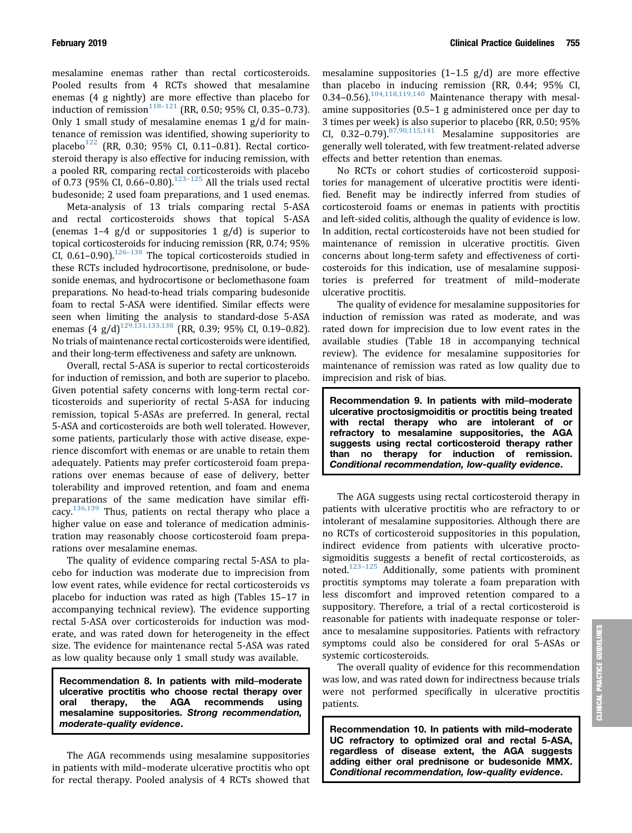mesalamine enemas rather than rectal corticosteroids. Pooled results from 4 RCTs showed that mesalamine enemas (4 g nightly) are more effective than placebo for induction of remission<sup>[118](#page-14-0)–[121](#page-14-0)</sup> (RR, 0.50; 95% CI, 0.35–0.73). Only 1 small study of mesalamine enemas 1 g/d for maintenance of remission was identified, showing superiority to placebo<sup>[122](#page-14-0)</sup> (RR, 0.30; 95% CI, 0.11-0.81). Rectal corticosteroid therapy is also effective for inducing remission, with a pooled RR, comparing rectal corticosteroids with placebo of 0.73 (95% CI,  $0.66 - 0.80$ ).<sup>[123](#page-14-0)-[125](#page-14-0)</sup> All the trials used rectal budesonide; 2 used foam preparations, and 1 used enemas.

Meta-analysis of 13 trials comparing rectal 5-ASA and rectal corticosteroids shows that topical 5-ASA (enemas  $1-4$  g/d or suppositories  $1$  g/d) is superior to topical corticosteroids for inducing remission (RR, 0.74; 95% CI,  $0.61-0.90$ ).<sup>126-[138](#page-14-0)</sup> The topical corticosteroids studied in these RCTs included hydrocortisone, prednisolone, or budesonide enemas, and hydrocortisone or beclomethasone foam preparations. No head-to-head trials comparing budesonide foam to rectal 5-ASA were identified. Similar effects were seen when limiting the analysis to standard-dose 5-ASA enemas  $(4 \text{ g}/d)^{129,131,133,138}$  $(4 \text{ g}/d)^{129,131,133,138}$  $(4 \text{ g}/d)^{129,131,133,138}$  (RR, 0.39; 95% CI, 0.19-0.82). No trials of maintenance rectal corticosteroids were identified, and their long-term effectiveness and safety are unknown.

Overall, rectal 5-ASA is superior to rectal corticosteroids for induction of remission, and both are superior to placebo. Given potential safety concerns with long-term rectal corticosteroids and superiority of rectal 5-ASA for inducing remission, topical 5-ASAs are preferred. In general, rectal 5-ASA and corticosteroids are both well tolerated. However, some patients, particularly those with active disease, experience discomfort with enemas or are unable to retain them adequately. Patients may prefer corticosteroid foam preparations over enemas because of ease of delivery, better tolerability and improved retention, and foam and enema preparations of the same medication have similar efficacy. $136,139$  Thus, patients on rectal therapy who place a higher value on ease and tolerance of medication administration may reasonably choose corticosteroid foam preparations over mesalamine enemas.

The quality of evidence comparing rectal 5-ASA to placebo for induction was moderate due to imprecision from low event rates, while evidence for rectal corticosteroids vs placebo for induction was rated as high (Tables 15–17 in accompanying technical review). The evidence supporting rectal 5-ASA over corticosteroids for induction was moderate, and was rated down for heterogeneity in the effect size. The evidence for maintenance rectal 5-ASA was rated as low quality because only 1 small study was available.

Recommendation 8. In patients with mild–moderate ulcerative proctitis who choose rectal therapy over oral therapy, the AGA recommends using mesalamine suppositories. Strong recommendation, moderate-quality evidence.

The AGA recommends using mesalamine suppositories in patients with mild–moderate ulcerative proctitis who opt for rectal therapy. Pooled analysis of 4 RCTs showed that mesalamine suppositories (1–1.5 g/d) are more effective than placebo in inducing remission (RR, 0.44; 95% CI,  $0.34 - 0.56$ ).<sup>[104,118,119,140](#page-13-0)</sup> Maintenance therapy with mesalamine suppositories (0.5–1 g administered once per day to 3 times per week) is also superior to placebo (RR, 0.50; 95% CI,  $0.32-0.79$ ).<sup>[87,90,115,141](#page-13-0)</sup> Mesalamine suppositories are generally well tolerated, with few treatment-related adverse effects and better retention than enemas.

No RCTs or cohort studies of corticosteroid suppositories for management of ulcerative proctitis were identified. Benefit may be indirectly inferred from studies of corticosteroid foams or enemas in patients with proctitis and left-sided colitis, although the quality of evidence is low. In addition, rectal corticosteroids have not been studied for maintenance of remission in ulcerative proctitis. Given concerns about long-term safety and effectiveness of corticosteroids for this indication, use of mesalamine suppositories is preferred for treatment of mild–moderate ulcerative proctitis.

The quality of evidence for mesalamine suppositories for induction of remission was rated as moderate, and was rated down for imprecision due to low event rates in the available studies (Table 18 in accompanying technical review). The evidence for mesalamine suppositories for maintenance of remission was rated as low quality due to imprecision and risk of bias.

Recommendation 9. In patients with mild–moderate ulcerative proctosigmoiditis or proctitis being treated with rectal therapy who are intolerant of or refractory to mesalamine suppositories, the AGA suggests using rectal corticosteroid therapy rather than no therapy for induction of remission. Conditional recommendation, low-quality evidence.

The AGA suggests using rectal corticosteroid therapy in patients with ulcerative proctitis who are refractory to or intolerant of mesalamine suppositories. Although there are no RCTs of corticosteroid suppositories in this population, indirect evidence from patients with ulcerative proctosigmoiditis suggests a benefit of rectal corticosteroids, as noted.[123](#page-14-0)–[125](#page-14-0) Additionally, some patients with prominent proctitis symptoms may tolerate a foam preparation with less discomfort and improved retention compared to a suppository. Therefore, a trial of a rectal corticosteroid is reasonable for patients with inadequate response or tolerance to mesalamine suppositories. Patients with refractory symptoms could also be considered for oral 5-ASAs or systemic corticosteroids.

The overall quality of evidence for this recommendation was low, and was rated down for indirectness because trials were not performed specifically in ulcerative proctitis patients.

Recommendation 10. In patients with mild–moderate UC refractory to optimized oral and rectal 5-ASA, regardless of disease extent, the AGA suggests adding either oral prednisone or budesonide MMX. Conditional recommendation, low-quality evidence.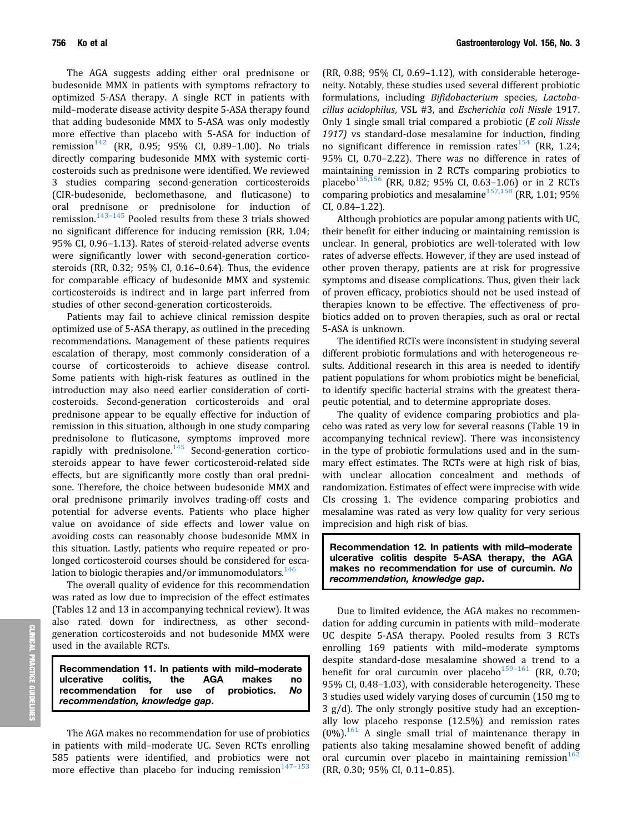The AGA suggests adding either oral prednisone or budesonide MMX in patients with symptoms refractory to optimized 5-ASA therapy. A single RCT in patients with mild–moderate disease activity despite 5-ASA therapy found that adding budesonide MMX to 5-ASA was only modestly more effective than placebo with 5-ASA for induction of remission<sup>[142](#page-15-0)</sup> (RR, 0.95; 95% CI, 0.89-1.00). No trials directly comparing budesonide MMX with systemic corticosteroids such as prednisone were identified. We reviewed 3 studies comparing second-generation corticosteroids (CIR-budesonide, beclomethasone, and fluticasone) to oral prednisone or prednisolone for induction of remission. $143-145$  $143-145$  $143-145$  Pooled results from these 3 trials showed no significant difference for inducing remission (RR, 1.04; 95% CI, 0.96–1.13). Rates of steroid-related adverse events were significantly lower with second-generation corticosteroids (RR, 0.32; 95% CI, 0.16–0.64). Thus, the evidence for comparable efficacy of budesonide MMX and systemic corticosteroids is indirect and in large part inferred from studies of other second-generation corticosteroids.

Patients may fail to achieve clinical remission despite optimized use of 5-ASA therapy, as outlined in the preceding recommendations. Management of these patients requires escalation of therapy, most commonly consideration of a course of corticosteroids to achieve disease control. Some patients with high-risk features as outlined in the introduction may also need earlier consideration of corticosteroids. Second-generation corticosteroids and oral prednisone appear to be equally effective for induction of remission in this situation, although in one study comparing prednisolone to fluticasone, symptoms improved more rapidly with prednisolone. $145$  Second-generation corticosteroids appear to have fewer corticosteroid-related side effects, but are significantly more costly than oral prednisone. Therefore, the choice between budesonide MMX and oral prednisone primarily involves trading-off costs and potential for adverse events. Patients who place higher value on avoidance of side effects and lower value on avoiding costs can reasonably choose budesonide MMX in this situation. Lastly, patients who require repeated or prolonged corticosteroid courses should be considered for escalation to biologic therapies and/or immunomodulators. $146$ 

The overall quality of evidence for this recommendation was rated as low due to imprecision of the effect estimates (Tables 12 and 13 in accompanying technical review). It was also rated down for indirectness, as other secondgeneration corticosteroids and not budesonide MMX were used in the available RCTs.

Recommendation 11. In patients with mild–moderate ulcerative colitis, the AGA makes no recommendation for use of probiotics. No recommendation, knowledge gap.

The AGA makes no recommendation for use of probiotics in patients with mild–moderate UC. Seven RCTs enrolling 585 patients were identified, and probiotics were not more effective than placebo for inducing remission $147-153$  $147-153$  $147-153$ 

(RR, 0.88; 95% CI, 0.69–1.12), with considerable heterogeneity. Notably, these studies used several different probiotic formulations, including Bifidobacterium species, Lactobacillus acidophilus, VSL #3, and Escherichia coli Nissle 1917. Only 1 single small trial compared a probiotic  $(E \text{ coli}$  Nissle 1917) vs standard-dose mesalamine for induction, finding no significant difference in remission rates  $154$  (RR, 1.24; 95% CI, 0.70–2.22). There was no difference in rates of maintaining remission in 2 RCTs comparing probiotics to placebo<sup>[155,156](#page-15-0)</sup> (RR, 0.82; 95% CI, 0.63-1.06) or in 2 RCTs comparing probiotics and mesalamine<sup>[157,158](#page-15-0)</sup> (RR, 1.01; 95%) CI, 0.84–1.22).

Although probiotics are popular among patients with UC, their benefit for either inducing or maintaining remission is unclear. In general, probiotics are well-tolerated with low rates of adverse effects. However, if they are used instead of other proven therapy, patients are at risk for progressive symptoms and disease complications. Thus, given their lack of proven efficacy, probiotics should not be used instead of therapies known to be effective. The effectiveness of probiotics added on to proven therapies, such as oral or rectal 5-ASA is unknown.

The identified RCTs were inconsistent in studying several different probiotic formulations and with heterogeneous results. Additional research in this area is needed to identify patient populations for whom probiotics might be beneficial, to identify specific bacterial strains with the greatest therapeutic potential, and to determine appropriate doses.

The quality of evidence comparing probiotics and placebo was rated as very low for several reasons (Table 19 in accompanying technical review). There was inconsistency in the type of probiotic formulations used and in the summary effect estimates. The RCTs were at high risk of bias, with unclear allocation concealment and methods of randomization. Estimates of effect were imprecise with wide CIs crossing 1. The evidence comparing probiotics and mesalamine was rated as very low quality for very serious imprecision and high risk of bias.

Recommendation 12. In patients with mild–moderate ulcerative colitis despite 5-ASA therapy, the AGA makes no recommendation for use of curcumin. No recommendation, knowledge gap.

Due to limited evidence, the AGA makes no recommendation for adding curcumin in patients with mild–moderate UC despite 5-ASA therapy. Pooled results from 3 RCTs enrolling 169 patients with mild–moderate symptoms despite standard-dose mesalamine showed a trend to a benefit for oral curcumin over placebo $159-161$  $159-161$  $159-161$  (RR, 0.70; 95% CI, 0.48–1.03), with considerable heterogeneity. These 3 studies used widely varying doses of curcumin (150 mg to 3 g/d). The only strongly positive study had an exceptionally low placebo response (12.5%) and remission rates  $(0\%)$ <sup>[161](#page-15-0)</sup> A single small trial of maintenance therapy in patients also taking mesalamine showed benefit of adding oral curcumin over placebo in maintaining remission $162$ (RR, 0.30; 95% CI, 0.11–0.85).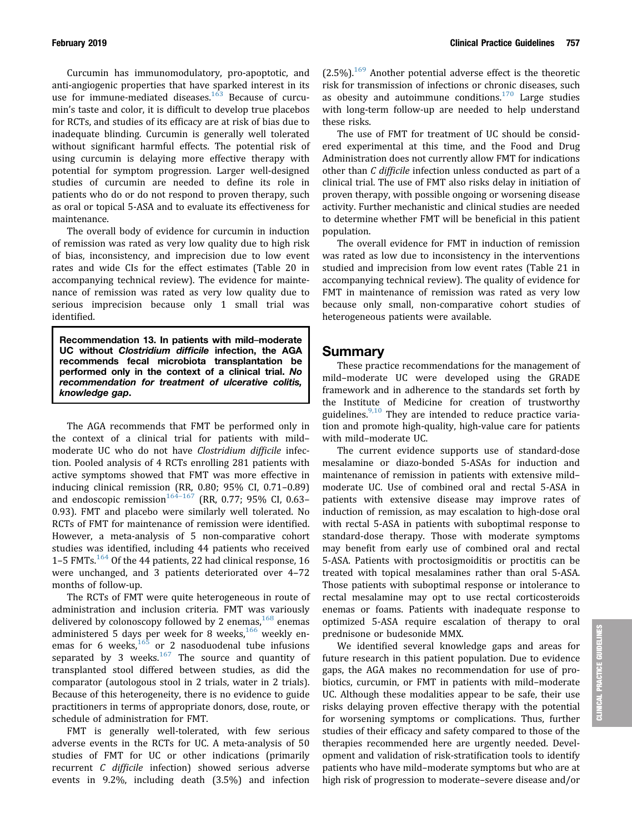Curcumin has immunomodulatory, pro-apoptotic, and anti-angiogenic properties that have sparked interest in its use for immune-mediated diseases.<sup>[163](#page-15-0)</sup> Because of curcumin's taste and color, it is difficult to develop true placebos for RCTs, and studies of its efficacy are at risk of bias due to inadequate blinding. Curcumin is generally well tolerated without significant harmful effects. The potential risk of using curcumin is delaying more effective therapy with potential for symptom progression. Larger well-designed studies of curcumin are needed to define its role in patients who do or do not respond to proven therapy, such as oral or topical 5-ASA and to evaluate its effectiveness for maintenance.

The overall body of evidence for curcumin in induction of remission was rated as very low quality due to high risk of bias, inconsistency, and imprecision due to low event rates and wide CIs for the effect estimates (Table 20 in accompanying technical review). The evidence for maintenance of remission was rated as very low quality due to serious imprecision because only 1 small trial was identified.

Recommendation 13. In patients with mild–moderate UC without Clostridium difficile infection, the AGA recommends fecal microbiota transplantation be performed only in the context of a clinical trial. No recommendation for treatment of ulcerative colitis, knowledge gap.

The AGA recommends that FMT be performed only in the context of a clinical trial for patients with mild– moderate UC who do not have Clostridium difficile infection. Pooled analysis of 4 RCTs enrolling 281 patients with active symptoms showed that FMT was more effective in inducing clinical remission (RR, 0.80; 95% CI, 0.71–0.89) and endoscopic remission<sup>[164](#page-15-0)-[167](#page-15-0)</sup> (RR, 0.77; 95% CI, 0.63-0.93). FMT and placebo were similarly well tolerated. No RCTs of FMT for maintenance of remission were identified. However, a meta-analysis of 5 non-comparative cohort studies was identified, including 44 patients who received 1–5 FMTs. $164$  Of the 44 patients, 22 had clinical response, 16 were unchanged, and 3 patients deteriorated over 4–72 months of follow-up.

The RCTs of FMT were quite heterogeneous in route of administration and inclusion criteria. FMT was variously delivered by colonoscopy followed by 2 enemas,<sup>[168](#page-15-0)</sup> enemas administered 5 days per week for 8 weeks, $166$  weekly en-emas for 6 weeks,<sup>[165](#page-15-0)</sup> or 2 nasoduodenal tube infusions separated by 3 weeks. $167$  The source and quantity of transplanted stool differed between studies, as did the comparator (autologous stool in 2 trials, water in 2 trials). Because of this heterogeneity, there is no evidence to guide practitioners in terms of appropriate donors, dose, route, or schedule of administration for FMT.

FMT is generally well-tolerated, with few serious adverse events in the RCTs for UC. A meta-analysis of 50 studies of FMT for UC or other indications (primarily recurrent C difficile infection) showed serious adverse events in 9.2%, including death (3.5%) and infection  $(2.5\%)$ .<sup>[169](#page-16-0)</sup> Another potential adverse effect is the theoretic risk for transmission of infections or chronic diseases, such as obesity and autoimmune conditions.<sup>[170](#page-16-0)</sup> Large studies with long-term follow-up are needed to help understand these risks.

The use of FMT for treatment of UC should be considered experimental at this time, and the Food and Drug Administration does not currently allow FMT for indications other than C difficile infection unless conducted as part of a clinical trial. The use of FMT also risks delay in initiation of proven therapy, with possible ongoing or worsening disease activity. Further mechanistic and clinical studies are needed to determine whether FMT will be beneficial in this patient population.

The overall evidence for FMT in induction of remission was rated as low due to inconsistency in the interventions studied and imprecision from low event rates (Table 21 in accompanying technical review). The quality of evidence for FMT in maintenance of remission was rated as very low because only small, non-comparative cohort studies of heterogeneous patients were available.

# Summary

These practice recommendations for the management of mild–moderate UC were developed using the GRADE framework and in adherence to the standards set forth by the Institute of Medicine for creation of trustworthy guidelines.<sup>[9,10](#page-10-0)</sup> They are intended to reduce practice variation and promote high-quality, high-value care for patients with mild–moderate UC.

The current evidence supports use of standard-dose mesalamine or diazo-bonded 5-ASAs for induction and maintenance of remission in patients with extensive mild– moderate UC. Use of combined oral and rectal 5-ASA in patients with extensive disease may improve rates of induction of remission, as may escalation to high-dose oral with rectal 5-ASA in patients with suboptimal response to standard-dose therapy. Those with moderate symptoms may benefit from early use of combined oral and rectal 5-ASA. Patients with proctosigmoiditis or proctitis can be treated with topical mesalamines rather than oral 5-ASA. Those patients with suboptimal response or intolerance to rectal mesalamine may opt to use rectal corticosteroids enemas or foams. Patients with inadequate response to optimized 5-ASA require escalation of therapy to oral prednisone or budesonide MMX.

We identified several knowledge gaps and areas for future research in this patient population. Due to evidence gaps, the AGA makes no recommendation for use of probiotics, curcumin, or FMT in patients with mild–moderate UC. Although these modalities appear to be safe, their use risks delaying proven effective therapy with the potential for worsening symptoms or complications. Thus, further studies of their efficacy and safety compared to those of the therapies recommended here are urgently needed. Development and validation of risk-stratification tools to identify patients who have mild–moderate symptoms but who are at high risk of progression to moderate–severe disease and/or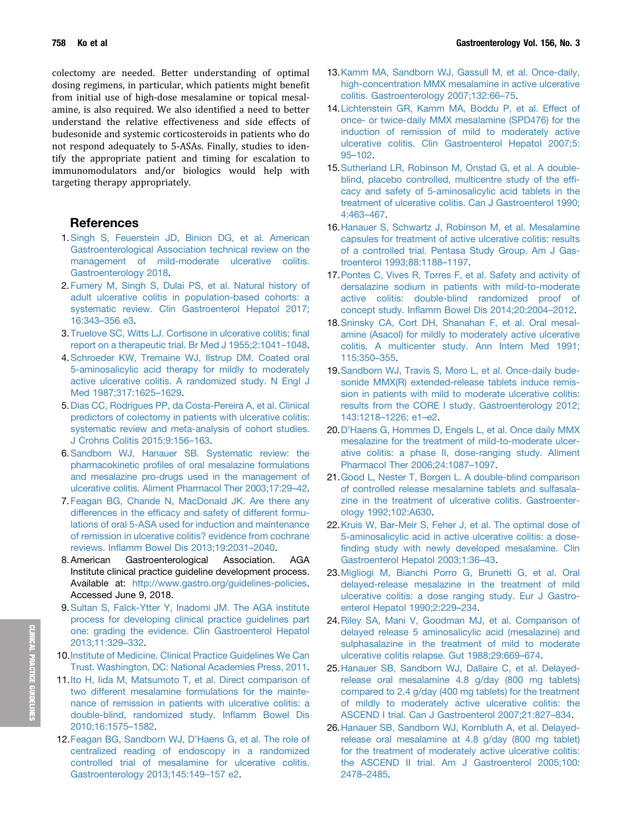<span id="page-10-0"></span>758 Ko et al Gastroenterology Vol. 156, No. 3

colectomy are needed. Better understanding of optimal dosing regimens, in particular, which patients might benefit from initial use of high-dose mesalamine or topical mesalamine, is also required. We also identified a need to better understand the relative effectiveness and side effects of budesonide and systemic corticosteroids in patients who do not respond adequately to 5-ASAs. Finally, studies to identify the appropriate patient and timing for escalation to immunomodulators and/or biologics would help with targeting therapy appropriately.

# References

- 1.[Singh S, Feuerstein JD, Binion DG, et al. American](http://refhub.elsevier.com/S0016-5085(18)35406-4/sref1) [Gastroenterological Association technical review on the](http://refhub.elsevier.com/S0016-5085(18)35406-4/sref1) [management of mild-moderate ulcerative colitis.](http://refhub.elsevier.com/S0016-5085(18)35406-4/sref1) [Gastroenterology 2018.](http://refhub.elsevier.com/S0016-5085(18)35406-4/sref1)
- 2. [Fumery M, Singh S, Dulai PS, et al. Natural history of](http://refhub.elsevier.com/S0016-5085(18)35406-4/sref2) [adult ulcerative colitis in population-based cohorts: a](http://refhub.elsevier.com/S0016-5085(18)35406-4/sref2) [systematic review. Clin Gastroenterol Hepatol 2017;](http://refhub.elsevier.com/S0016-5085(18)35406-4/sref2) [16:343](http://refhub.elsevier.com/S0016-5085(18)35406-4/sref2)–[356 e3.](http://refhub.elsevier.com/S0016-5085(18)35406-4/sref2)
- 3. [Truelove SC, Witts LJ. Cortisone in ulcerative colitis;](http://refhub.elsevier.com/S0016-5085(18)35406-4/sref3) final [report on a therapeutic trial. Br Med J 1955;2:1041](http://refhub.elsevier.com/S0016-5085(18)35406-4/sref3)–[1048.](http://refhub.elsevier.com/S0016-5085(18)35406-4/sref3)
- 4.[Schroeder KW, Tremaine WJ, Ilstrup DM. Coated oral](http://refhub.elsevier.com/S0016-5085(18)35406-4/sref4) [5-aminosalicylic acid therapy for mildly to moderately](http://refhub.elsevier.com/S0016-5085(18)35406-4/sref4) [active ulcerative colitis. A randomized study. N Engl J](http://refhub.elsevier.com/S0016-5085(18)35406-4/sref4) [Med 1987;317:1625](http://refhub.elsevier.com/S0016-5085(18)35406-4/sref4)–[1629.](http://refhub.elsevier.com/S0016-5085(18)35406-4/sref4)
- 5.[Dias CC, Rodrigues PP, da Costa-Pereira A, et al. Clinical](http://refhub.elsevier.com/S0016-5085(18)35406-4/sref5) [predictors of colectomy in patients with ulcerative colitis:](http://refhub.elsevier.com/S0016-5085(18)35406-4/sref5) [systematic review and meta-analysis of cohort studies.](http://refhub.elsevier.com/S0016-5085(18)35406-4/sref5) [J Crohns Colitis 2015;9:156](http://refhub.elsevier.com/S0016-5085(18)35406-4/sref5)–[163](http://refhub.elsevier.com/S0016-5085(18)35406-4/sref5).
- 6.[Sandborn WJ, Hanauer SB. Systematic review: the](http://refhub.elsevier.com/S0016-5085(18)35406-4/sref6) pharmacokinetic profi[les of oral mesalazine formulations](http://refhub.elsevier.com/S0016-5085(18)35406-4/sref6) [and mesalazine pro-drugs used in the management of](http://refhub.elsevier.com/S0016-5085(18)35406-4/sref6) [ulcerative colitis. Aliment Pharmacol Ther 2003;17:29](http://refhub.elsevier.com/S0016-5085(18)35406-4/sref6)–[42.](http://refhub.elsevier.com/S0016-5085(18)35406-4/sref6)
- 7. [Feagan BG, Chande N, MacDonald JK. Are there any](http://refhub.elsevier.com/S0016-5085(18)35406-4/sref7) differences in the effi[cacy and safety of different formu](http://refhub.elsevier.com/S0016-5085(18)35406-4/sref7)[lations of oral 5-ASA used for induction and maintenance](http://refhub.elsevier.com/S0016-5085(18)35406-4/sref7) [of remission in ulcerative colitis? evidence from cochrane](http://refhub.elsevier.com/S0016-5085(18)35406-4/sref7) reviews. Infl[amm Bowel Dis 2013;19:2031](http://refhub.elsevier.com/S0016-5085(18)35406-4/sref7)–[2040](http://refhub.elsevier.com/S0016-5085(18)35406-4/sref7).
- 8. American Gastroenterological Association. AGA Institute clinical practice guideline development process. Available at: [http://www.gastro.org/guidelines-policies.](http://www.gastro.org/guidelines-policies) Accessed June 9, 2018.
- 9.[Sultan S, Falck-Ytter Y, Inadomi JM. The AGA institute](http://refhub.elsevier.com/S0016-5085(18)35406-4/sref9) [process for developing clinical practice guidelines part](http://refhub.elsevier.com/S0016-5085(18)35406-4/sref9) [one: grading the evidence. Clin Gastroenterol Hepatol](http://refhub.elsevier.com/S0016-5085(18)35406-4/sref9) [2013;11:329](http://refhub.elsevier.com/S0016-5085(18)35406-4/sref9)–[332](http://refhub.elsevier.com/S0016-5085(18)35406-4/sref9).
- 10.[Institute of Medicine. Clinical Practice Guidelines We Can](http://refhub.elsevier.com/S0016-5085(18)35406-4/sref10) [Trust. Washington, DC: National Academies Press, 2011.](http://refhub.elsevier.com/S0016-5085(18)35406-4/sref10)
- 11.[Ito H, Iida M, Matsumoto T, et al. Direct comparison of](http://refhub.elsevier.com/S0016-5085(18)35406-4/sref11) [two different mesalamine formulations for the mainte](http://refhub.elsevier.com/S0016-5085(18)35406-4/sref11)[nance of remission in patients with ulcerative colitis: a](http://refhub.elsevier.com/S0016-5085(18)35406-4/sref11) [double-blind, randomized study. In](http://refhub.elsevier.com/S0016-5085(18)35406-4/sref11)flamm Bowel Dis [2010;16:1575](http://refhub.elsevier.com/S0016-5085(18)35406-4/sref11)–[1582.](http://refhub.elsevier.com/S0016-5085(18)35406-4/sref11)
- 12.[Feagan BG, Sandborn WJ, D](http://refhub.elsevier.com/S0016-5085(18)35406-4/sref12)'Haens G, et al. The role of [centralized reading of endoscopy in a randomized](http://refhub.elsevier.com/S0016-5085(18)35406-4/sref12) [controlled trial of mesalamine for ulcerative colitis.](http://refhub.elsevier.com/S0016-5085(18)35406-4/sref12) [Gastroenterology 2013;145:149](http://refhub.elsevier.com/S0016-5085(18)35406-4/sref12)–[157 e2.](http://refhub.elsevier.com/S0016-5085(18)35406-4/sref12)
- 13.[Kamm MA, Sandborn WJ, Gassull M, et al. Once-daily,](http://refhub.elsevier.com/S0016-5085(18)35406-4/sref13) [high-concentration MMX mesalamine in active ulcerative](http://refhub.elsevier.com/S0016-5085(18)35406-4/sref13) [colitis. Gastroenterology 2007;132:66](http://refhub.elsevier.com/S0016-5085(18)35406-4/sref13)–[75](http://refhub.elsevier.com/S0016-5085(18)35406-4/sref13).
- 14.[Lichtenstein GR, Kamm MA, Boddu P, et al. Effect of](http://refhub.elsevier.com/S0016-5085(18)35406-4/sref14) [once- or twice-daily MMX mesalamine \(SPD476\) for the](http://refhub.elsevier.com/S0016-5085(18)35406-4/sref14) [induction of remission of mild to moderately active](http://refhub.elsevier.com/S0016-5085(18)35406-4/sref14) [ulcerative colitis. Clin Gastroenterol Hepatol 2007;5:](http://refhub.elsevier.com/S0016-5085(18)35406-4/sref14) [95](http://refhub.elsevier.com/S0016-5085(18)35406-4/sref14)–[102.](http://refhub.elsevier.com/S0016-5085(18)35406-4/sref14)
- 15.[Sutherland LR, Robinson M, Onstad G, et al. A double](http://refhub.elsevier.com/S0016-5085(18)35406-4/sref15)[blind, placebo controlled, multicentre study of the ef](http://refhub.elsevier.com/S0016-5085(18)35406-4/sref15)fi[cacy and safety of 5-aminosalicylic acid tablets in the](http://refhub.elsevier.com/S0016-5085(18)35406-4/sref15) [treatment of ulcerative colitis. Can J Gastroenterol 1990;](http://refhub.elsevier.com/S0016-5085(18)35406-4/sref15) [4:463](http://refhub.elsevier.com/S0016-5085(18)35406-4/sref15)–[467.](http://refhub.elsevier.com/S0016-5085(18)35406-4/sref15)
- 16.[Hanauer S, Schwartz J, Robinson M, et al. Mesalamine](http://refhub.elsevier.com/S0016-5085(18)35406-4/sref16) [capsules for treatment of active ulcerative colitis: results](http://refhub.elsevier.com/S0016-5085(18)35406-4/sref16) [of a controlled trial. Pentasa Study Group. Am J Gas](http://refhub.elsevier.com/S0016-5085(18)35406-4/sref16)[troenterol 1993;88:1188](http://refhub.elsevier.com/S0016-5085(18)35406-4/sref16)–[1197](http://refhub.elsevier.com/S0016-5085(18)35406-4/sref16).
- 17.[Pontes C, Vives R, Torres F, et al. Safety and activity of](http://refhub.elsevier.com/S0016-5085(18)35406-4/sref17) [dersalazine sodium in patients with mild-to-moderate](http://refhub.elsevier.com/S0016-5085(18)35406-4/sref17) [active colitis: double-blind randomized proof of](http://refhub.elsevier.com/S0016-5085(18)35406-4/sref17) concept study. Infl[amm Bowel Dis 2014;20:2004](http://refhub.elsevier.com/S0016-5085(18)35406-4/sref17)–[2012.](http://refhub.elsevier.com/S0016-5085(18)35406-4/sref17)
- 18.[Sninsky CA, Cort DH, Shanahan F, et al. Oral mesal](http://refhub.elsevier.com/S0016-5085(18)35406-4/sref18)[amine \(Asacol\) for mildly to moderately active ulcerative](http://refhub.elsevier.com/S0016-5085(18)35406-4/sref18) [colitis. A multicenter study. Ann Intern Med 1991;](http://refhub.elsevier.com/S0016-5085(18)35406-4/sref18) [115:350](http://refhub.elsevier.com/S0016-5085(18)35406-4/sref18)–[355.](http://refhub.elsevier.com/S0016-5085(18)35406-4/sref18)
- 19.[Sandborn WJ, Travis S, Moro L, et al. Once-daily bude](http://refhub.elsevier.com/S0016-5085(18)35406-4/sref19)[sonide MMX\(R\) extended-release tablets induce remis](http://refhub.elsevier.com/S0016-5085(18)35406-4/sref19)[sion in patients with mild to moderate ulcerative colitis:](http://refhub.elsevier.com/S0016-5085(18)35406-4/sref19) [results from the CORE I study. Gastroenterology 2012;](http://refhub.elsevier.com/S0016-5085(18)35406-4/sref19) [143:1218](http://refhub.elsevier.com/S0016-5085(18)35406-4/sref19)–[1226; e1](http://refhub.elsevier.com/S0016-5085(18)35406-4/sref19)–[e2](http://refhub.elsevier.com/S0016-5085(18)35406-4/sref19).
- 20.D'[Haens G, Hommes D, Engels L, et al. Once daily MMX](http://refhub.elsevier.com/S0016-5085(18)35406-4/sref20) [mesalazine for the treatment of mild-to-moderate ulcer](http://refhub.elsevier.com/S0016-5085(18)35406-4/sref20)[ative colitis: a phase II, dose-ranging study. Aliment](http://refhub.elsevier.com/S0016-5085(18)35406-4/sref20) [Pharmacol Ther 2006;24:1087](http://refhub.elsevier.com/S0016-5085(18)35406-4/sref20)–[1097](http://refhub.elsevier.com/S0016-5085(18)35406-4/sref20).
- 21.[Good L, Nester T, Borgen L. A double-blind comparison](http://refhub.elsevier.com/S0016-5085(18)35406-4/sref21) [of controlled release mesalamine tablets and sulfasala](http://refhub.elsevier.com/S0016-5085(18)35406-4/sref21)[zine in the treatment of ulcerative colitis. Gastroenter](http://refhub.elsevier.com/S0016-5085(18)35406-4/sref21)[ology 1992;102:A630](http://refhub.elsevier.com/S0016-5085(18)35406-4/sref21).
- 22.[Kruis W, Bar-Meir S, Feher J, et al. The optimal dose of](http://refhub.elsevier.com/S0016-5085(18)35406-4/sref22) [5-aminosalicylic acid in active ulcerative colitis: a dose](http://refhub.elsevier.com/S0016-5085(18)35406-4/sref22)fi[nding study with newly developed mesalamine. Clin](http://refhub.elsevier.com/S0016-5085(18)35406-4/sref22) [Gastroenterol Hepatol 2003;1:36](http://refhub.elsevier.com/S0016-5085(18)35406-4/sref22)–[43](http://refhub.elsevier.com/S0016-5085(18)35406-4/sref22).
- 23.[Migliogi M, Bianchi Porro G, Brunetti G, et al. Oral](http://refhub.elsevier.com/S0016-5085(18)35406-4/sref23) [delayed-release mesalazine in the treatment of mild](http://refhub.elsevier.com/S0016-5085(18)35406-4/sref23) [ulcerative colitis: a dose ranging study. Eur J Gastro](http://refhub.elsevier.com/S0016-5085(18)35406-4/sref23)[enterol Hepatol 1990;2:229](http://refhub.elsevier.com/S0016-5085(18)35406-4/sref23)–[234](http://refhub.elsevier.com/S0016-5085(18)35406-4/sref23).
- 24.[Riley SA, Mani V, Goodman MJ, et al. Comparison of](http://refhub.elsevier.com/S0016-5085(18)35406-4/sref24) [delayed release 5 aminosalicylic acid \(mesalazine\) and](http://refhub.elsevier.com/S0016-5085(18)35406-4/sref24) [sulphasalazine in the treatment of mild to moderate](http://refhub.elsevier.com/S0016-5085(18)35406-4/sref24) [ulcerative colitis relapse. Gut 1988;29:669](http://refhub.elsevier.com/S0016-5085(18)35406-4/sref24)–[674.](http://refhub.elsevier.com/S0016-5085(18)35406-4/sref24)
- 25.[Hanauer SB, Sandborn WJ, Dallaire C, et al. Delayed](http://refhub.elsevier.com/S0016-5085(18)35406-4/sref25)[release oral mesalamine 4.8 g/day \(800 mg tablets\)](http://refhub.elsevier.com/S0016-5085(18)35406-4/sref25) [compared to 2.4 g/day \(400 mg tablets\) for the treatment](http://refhub.elsevier.com/S0016-5085(18)35406-4/sref25) [of mildly to moderately active ulcerative colitis: the](http://refhub.elsevier.com/S0016-5085(18)35406-4/sref25) [ASCEND I trial. Can J Gastroenterol 2007;21:827](http://refhub.elsevier.com/S0016-5085(18)35406-4/sref25)–[834.](http://refhub.elsevier.com/S0016-5085(18)35406-4/sref25)
- 26.[Hanauer SB, Sandborn WJ, Kornbluth A, et al. Delayed](http://refhub.elsevier.com/S0016-5085(18)35406-4/sref26)[release oral mesalamine at 4.8 g/day \(800 mg tablet\)](http://refhub.elsevier.com/S0016-5085(18)35406-4/sref26) [for the treatment of moderately active ulcerative colitis:](http://refhub.elsevier.com/S0016-5085(18)35406-4/sref26) [the ASCEND II trial. Am J Gastroenterol 2005;100:](http://refhub.elsevier.com/S0016-5085(18)35406-4/sref26) [2478](http://refhub.elsevier.com/S0016-5085(18)35406-4/sref26)–[2485](http://refhub.elsevier.com/S0016-5085(18)35406-4/sref26).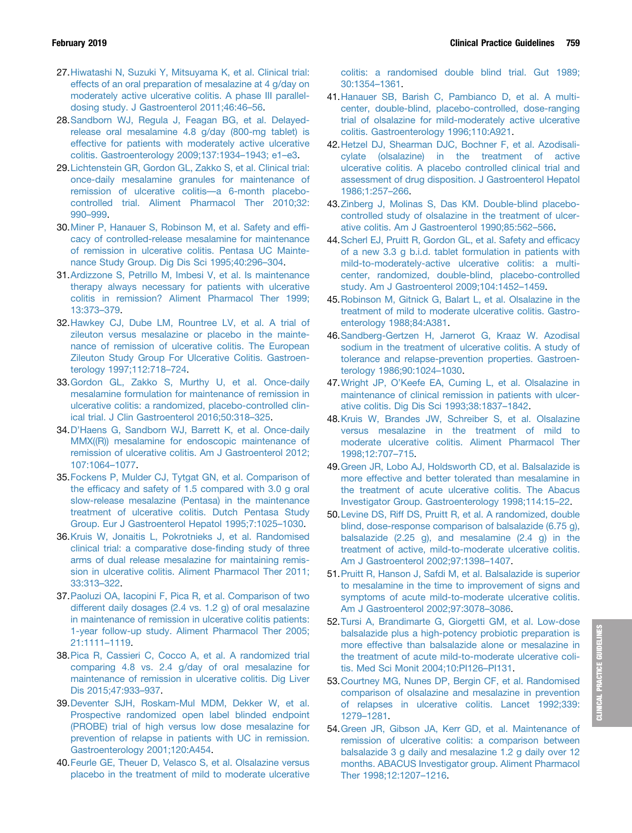- <span id="page-11-0"></span>27.[Hiwatashi N, Suzuki Y, Mitsuyama K, et al. Clinical trial:](http://refhub.elsevier.com/S0016-5085(18)35406-4/sref27) [effects of an oral preparation of mesalazine at 4 g/day on](http://refhub.elsevier.com/S0016-5085(18)35406-4/sref27) [moderately active ulcerative colitis. A phase III parallel](http://refhub.elsevier.com/S0016-5085(18)35406-4/sref27)[dosing study. J Gastroenterol 2011;46:46](http://refhub.elsevier.com/S0016-5085(18)35406-4/sref27)–[56.](http://refhub.elsevier.com/S0016-5085(18)35406-4/sref27)
- 28.[Sandborn WJ, Regula J, Feagan BG, et al. Delayed](http://refhub.elsevier.com/S0016-5085(18)35406-4/sref28)[release oral mesalamine 4.8 g/day \(800-mg tablet\) is](http://refhub.elsevier.com/S0016-5085(18)35406-4/sref28) [effective for patients with moderately active ulcerative](http://refhub.elsevier.com/S0016-5085(18)35406-4/sref28) [colitis. Gastroenterology 2009;137:1934](http://refhub.elsevier.com/S0016-5085(18)35406-4/sref28)–[1943; e1](http://refhub.elsevier.com/S0016-5085(18)35406-4/sref28)–[e3](http://refhub.elsevier.com/S0016-5085(18)35406-4/sref28).
- 29.[Lichtenstein GR, Gordon GL, Zakko S, et al. Clinical trial:](http://refhub.elsevier.com/S0016-5085(18)35406-4/sref29) [once-daily mesalamine granules for maintenance of](http://refhub.elsevier.com/S0016-5085(18)35406-4/sref29) [remission of ulcerative colitis](http://refhub.elsevier.com/S0016-5085(18)35406-4/sref29)—[a 6-month placebo](http://refhub.elsevier.com/S0016-5085(18)35406-4/sref29)[controlled trial. Aliment Pharmacol Ther 2010;32:](http://refhub.elsevier.com/S0016-5085(18)35406-4/sref29) [990](http://refhub.elsevier.com/S0016-5085(18)35406-4/sref29)–[999.](http://refhub.elsevier.com/S0016-5085(18)35406-4/sref29)
- 30.[Miner P, Hanauer S, Robinson M, et al. Safety and ef](http://refhub.elsevier.com/S0016-5085(18)35406-4/sref30)fi[cacy of controlled-release mesalamine for maintenance](http://refhub.elsevier.com/S0016-5085(18)35406-4/sref30) [of remission in ulcerative colitis. Pentasa UC Mainte](http://refhub.elsevier.com/S0016-5085(18)35406-4/sref30)[nance Study Group. Dig Dis Sci 1995;40:296](http://refhub.elsevier.com/S0016-5085(18)35406-4/sref30)–[304](http://refhub.elsevier.com/S0016-5085(18)35406-4/sref30).
- 31.[Ardizzone S, Petrillo M, Imbesi V, et al. Is maintenance](http://refhub.elsevier.com/S0016-5085(18)35406-4/sref31) [therapy always necessary for patients with ulcerative](http://refhub.elsevier.com/S0016-5085(18)35406-4/sref31) [colitis in remission? Aliment Pharmacol Ther 1999;](http://refhub.elsevier.com/S0016-5085(18)35406-4/sref31) [13:373](http://refhub.elsevier.com/S0016-5085(18)35406-4/sref31)–[379.](http://refhub.elsevier.com/S0016-5085(18)35406-4/sref31)
- 32.[Hawkey CJ, Dube LM, Rountree LV, et al. A trial of](http://refhub.elsevier.com/S0016-5085(18)35406-4/sref32) [zileuton versus mesalazine or placebo in the mainte](http://refhub.elsevier.com/S0016-5085(18)35406-4/sref32)[nance of remission of ulcerative colitis. The European](http://refhub.elsevier.com/S0016-5085(18)35406-4/sref32) [Zileuton Study Group For Ulcerative Colitis. Gastroen](http://refhub.elsevier.com/S0016-5085(18)35406-4/sref32)[terology 1997;112:718](http://refhub.elsevier.com/S0016-5085(18)35406-4/sref32)–[724](http://refhub.elsevier.com/S0016-5085(18)35406-4/sref32).
- 33.[Gordon GL, Zakko S, Murthy U, et al. Once-daily](http://refhub.elsevier.com/S0016-5085(18)35406-4/sref33) [mesalamine formulation for maintenance of remission in](http://refhub.elsevier.com/S0016-5085(18)35406-4/sref33) [ulcerative colitis: a randomized, placebo-controlled clin](http://refhub.elsevier.com/S0016-5085(18)35406-4/sref33)[ical trial. J Clin Gastroenterol 2016;50:318](http://refhub.elsevier.com/S0016-5085(18)35406-4/sref33)–[325](http://refhub.elsevier.com/S0016-5085(18)35406-4/sref33).
- 34.D'[Haens G, Sandborn WJ, Barrett K, et al. Once-daily](http://refhub.elsevier.com/S0016-5085(18)35406-4/sref34) [MMX\(\(R\)\) mesalamine for endoscopic maintenance of](http://refhub.elsevier.com/S0016-5085(18)35406-4/sref34) [remission of ulcerative colitis. Am J Gastroenterol 2012;](http://refhub.elsevier.com/S0016-5085(18)35406-4/sref34) [107:1064](http://refhub.elsevier.com/S0016-5085(18)35406-4/sref34)–[1077.](http://refhub.elsevier.com/S0016-5085(18)35406-4/sref34)
- 35.[Fockens P, Mulder CJ, Tytgat GN, et al. Comparison of](http://refhub.elsevier.com/S0016-5085(18)35406-4/sref35) the effi[cacy and safety of 1.5 compared with 3.0 g oral](http://refhub.elsevier.com/S0016-5085(18)35406-4/sref35) [slow-release mesalazine \(Pentasa\) in the maintenance](http://refhub.elsevier.com/S0016-5085(18)35406-4/sref35) [treatment of ulcerative colitis. Dutch Pentasa Study](http://refhub.elsevier.com/S0016-5085(18)35406-4/sref35) [Group. Eur J Gastroenterol Hepatol 1995;7:1025](http://refhub.elsevier.com/S0016-5085(18)35406-4/sref35)–[1030](http://refhub.elsevier.com/S0016-5085(18)35406-4/sref35).
- 36.[Kruis W, Jonaitis L, Pokrotnieks J, et al. Randomised](http://refhub.elsevier.com/S0016-5085(18)35406-4/sref36) [clinical trial: a comparative dose-](http://refhub.elsevier.com/S0016-5085(18)35406-4/sref36)finding study of three [arms of dual release mesalazine for maintaining remis](http://refhub.elsevier.com/S0016-5085(18)35406-4/sref36)[sion in ulcerative colitis. Aliment Pharmacol Ther 2011;](http://refhub.elsevier.com/S0016-5085(18)35406-4/sref36) [33:313](http://refhub.elsevier.com/S0016-5085(18)35406-4/sref36)–[322.](http://refhub.elsevier.com/S0016-5085(18)35406-4/sref36)
- 37.[Paoluzi OA, Iacopini F, Pica R, et al. Comparison of two](http://refhub.elsevier.com/S0016-5085(18)35406-4/sref37) [different daily dosages \(2.4 vs. 1.2 g\) of oral mesalazine](http://refhub.elsevier.com/S0016-5085(18)35406-4/sref37) [in maintenance of remission in ulcerative colitis patients:](http://refhub.elsevier.com/S0016-5085(18)35406-4/sref37) [1-year follow-up study. Aliment Pharmacol Ther 2005;](http://refhub.elsevier.com/S0016-5085(18)35406-4/sref37) [21:1111](http://refhub.elsevier.com/S0016-5085(18)35406-4/sref37)–[1119.](http://refhub.elsevier.com/S0016-5085(18)35406-4/sref37)
- 38.[Pica R, Cassieri C, Cocco A, et al. A randomized trial](http://refhub.elsevier.com/S0016-5085(18)35406-4/sref38) [comparing 4.8 vs. 2.4 g/day of oral mesalazine for](http://refhub.elsevier.com/S0016-5085(18)35406-4/sref38) [maintenance of remission in ulcerative colitis. Dig Liver](http://refhub.elsevier.com/S0016-5085(18)35406-4/sref38) [Dis 2015;47:933](http://refhub.elsevier.com/S0016-5085(18)35406-4/sref38)–[937.](http://refhub.elsevier.com/S0016-5085(18)35406-4/sref38)
- 39.[Deventer SJH, Roskam-Mul MDM, Dekker W, et al.](http://refhub.elsevier.com/S0016-5085(18)35406-4/sref39) [Prospective randomized open label blinded endpoint](http://refhub.elsevier.com/S0016-5085(18)35406-4/sref39) [\(PROBE\) trial of high versus low dose mesalazine for](http://refhub.elsevier.com/S0016-5085(18)35406-4/sref39) [prevention of relapse in patients with UC in remission.](http://refhub.elsevier.com/S0016-5085(18)35406-4/sref39) [Gastroenterology 2001;120:A454](http://refhub.elsevier.com/S0016-5085(18)35406-4/sref39).
- 40.[Feurle GE, Theuer D, Velasco S, et al. Olsalazine versus](http://refhub.elsevier.com/S0016-5085(18)35406-4/sref40) [placebo in the treatment of mild to moderate ulcerative](http://refhub.elsevier.com/S0016-5085(18)35406-4/sref40)

[colitis: a randomised double blind trial. Gut 1989;](http://refhub.elsevier.com/S0016-5085(18)35406-4/sref40) [30:1354](http://refhub.elsevier.com/S0016-5085(18)35406-4/sref40)–[1361.](http://refhub.elsevier.com/S0016-5085(18)35406-4/sref40)

- 41.[Hanauer SB, Barish C, Pambianco D, et al. A multi](http://refhub.elsevier.com/S0016-5085(18)35406-4/sref41)[center, double-blind, placebo-controlled, dose-ranging](http://refhub.elsevier.com/S0016-5085(18)35406-4/sref41) [trial of olsalazine for mild-moderately active ulcerative](http://refhub.elsevier.com/S0016-5085(18)35406-4/sref41) [colitis. Gastroenterology 1996;110:A921.](http://refhub.elsevier.com/S0016-5085(18)35406-4/sref41)
- 42.[Hetzel DJ, Shearman DJC, Bochner F, et al. Azodisali](http://refhub.elsevier.com/S0016-5085(18)35406-4/sref42)[cylate \(olsalazine\) in the treatment of active](http://refhub.elsevier.com/S0016-5085(18)35406-4/sref42) [ulcerative colitis. A placebo controlled clinical trial and](http://refhub.elsevier.com/S0016-5085(18)35406-4/sref42) [assessment of drug disposition. J Gastroenterol Hepatol](http://refhub.elsevier.com/S0016-5085(18)35406-4/sref42) [1986;1:257](http://refhub.elsevier.com/S0016-5085(18)35406-4/sref42)–[266](http://refhub.elsevier.com/S0016-5085(18)35406-4/sref42).
- 43.[Zinberg J, Molinas S, Das KM. Double-blind placebo](http://refhub.elsevier.com/S0016-5085(18)35406-4/sref43)[controlled study of olsalazine in the treatment of ulcer](http://refhub.elsevier.com/S0016-5085(18)35406-4/sref43)[ative colitis. Am J Gastroenterol 1990;85:562](http://refhub.elsevier.com/S0016-5085(18)35406-4/sref43)–[566](http://refhub.elsevier.com/S0016-5085(18)35406-4/sref43).
- 44.[Scherl EJ, Pruitt R, Gordon GL, et al. Safety and ef](http://refhub.elsevier.com/S0016-5085(18)35406-4/sref44)ficacy [of a new 3.3 g b.i.d. tablet formulation in patients with](http://refhub.elsevier.com/S0016-5085(18)35406-4/sref44) [mild-to-moderately-active ulcerative colitis: a multi](http://refhub.elsevier.com/S0016-5085(18)35406-4/sref44)[center, randomized, double-blind, placebo-controlled](http://refhub.elsevier.com/S0016-5085(18)35406-4/sref44) [study. Am J Gastroenterol 2009;104:1452](http://refhub.elsevier.com/S0016-5085(18)35406-4/sref44)–[1459](http://refhub.elsevier.com/S0016-5085(18)35406-4/sref44).
- 45.[Robinson M, Gitnick G, Balart L, et al. Olsalazine in the](http://refhub.elsevier.com/S0016-5085(18)35406-4/sref45) [treatment of mild to moderate ulcerative colitis. Gastro](http://refhub.elsevier.com/S0016-5085(18)35406-4/sref45)[enterology 1988;84:A381.](http://refhub.elsevier.com/S0016-5085(18)35406-4/sref45)
- 46.[Sandberg-Gertzen H, Jarnerot G, Kraaz W. Azodisal](http://refhub.elsevier.com/S0016-5085(18)35406-4/sref46) [sodium in the treatment of ulcerative colitis. A study of](http://refhub.elsevier.com/S0016-5085(18)35406-4/sref46) [tolerance and relapse-prevention properties. Gastroen](http://refhub.elsevier.com/S0016-5085(18)35406-4/sref46)[terology 1986;90:1024](http://refhub.elsevier.com/S0016-5085(18)35406-4/sref46)–[1030](http://refhub.elsevier.com/S0016-5085(18)35406-4/sref46).
- 47.Wright JP, O'[Keefe EA, Cuming L, et al. Olsalazine in](http://refhub.elsevier.com/S0016-5085(18)35406-4/sref47) [maintenance of clinical remission in patients with ulcer](http://refhub.elsevier.com/S0016-5085(18)35406-4/sref47)[ative colitis. Dig Dis Sci 1993;38:1837](http://refhub.elsevier.com/S0016-5085(18)35406-4/sref47)–[1842.](http://refhub.elsevier.com/S0016-5085(18)35406-4/sref47)
- 48.[Kruis W, Brandes JW, Schreiber S, et al. Olsalazine](http://refhub.elsevier.com/S0016-5085(18)35406-4/sref48) [versus mesalazine in the treatment of mild to](http://refhub.elsevier.com/S0016-5085(18)35406-4/sref48) [moderate ulcerative colitis. Aliment Pharmacol Ther](http://refhub.elsevier.com/S0016-5085(18)35406-4/sref48) [1998;12:707](http://refhub.elsevier.com/S0016-5085(18)35406-4/sref48)–[715](http://refhub.elsevier.com/S0016-5085(18)35406-4/sref48).
- 49.[Green JR, Lobo AJ, Holdsworth CD, et al. Balsalazide is](http://refhub.elsevier.com/S0016-5085(18)35406-4/sref49) [more effective and better tolerated than mesalamine in](http://refhub.elsevier.com/S0016-5085(18)35406-4/sref49) [the treatment of acute ulcerative colitis. The Abacus](http://refhub.elsevier.com/S0016-5085(18)35406-4/sref49) [Investigator Group. Gastroenterology 1998;114:15](http://refhub.elsevier.com/S0016-5085(18)35406-4/sref49)–[22.](http://refhub.elsevier.com/S0016-5085(18)35406-4/sref49)
- 50.[Levine DS, Riff DS, Pruitt R, et al. A randomized, double](http://refhub.elsevier.com/S0016-5085(18)35406-4/sref50) [blind, dose-response comparison of balsalazide \(6.75 g\),](http://refhub.elsevier.com/S0016-5085(18)35406-4/sref50) [balsalazide \(2.25 g\), and mesalamine \(2.4 g\) in the](http://refhub.elsevier.com/S0016-5085(18)35406-4/sref50) [treatment of active, mild-to-moderate ulcerative colitis.](http://refhub.elsevier.com/S0016-5085(18)35406-4/sref50) [Am J Gastroenterol 2002;97:1398](http://refhub.elsevier.com/S0016-5085(18)35406-4/sref50)–[1407.](http://refhub.elsevier.com/S0016-5085(18)35406-4/sref50)
- 51.[Pruitt R, Hanson J, Safdi M, et al. Balsalazide is superior](http://refhub.elsevier.com/S0016-5085(18)35406-4/sref51) [to mesalamine in the time to improvement of signs and](http://refhub.elsevier.com/S0016-5085(18)35406-4/sref51) [symptoms of acute mild-to-moderate ulcerative colitis.](http://refhub.elsevier.com/S0016-5085(18)35406-4/sref51) [Am J Gastroenterol 2002;97:3078](http://refhub.elsevier.com/S0016-5085(18)35406-4/sref51)–[3086.](http://refhub.elsevier.com/S0016-5085(18)35406-4/sref51)
- 52.[Tursi A, Brandimarte G, Giorgetti GM, et al. Low-dose](http://refhub.elsevier.com/S0016-5085(18)35406-4/sref52) [balsalazide plus a high-potency probiotic preparation is](http://refhub.elsevier.com/S0016-5085(18)35406-4/sref52) [more effective than balsalazide alone or mesalazine in](http://refhub.elsevier.com/S0016-5085(18)35406-4/sref52) [the treatment of acute mild-to-moderate ulcerative coli](http://refhub.elsevier.com/S0016-5085(18)35406-4/sref52)[tis. Med Sci Monit 2004;10:PI126](http://refhub.elsevier.com/S0016-5085(18)35406-4/sref52)–[PI131.](http://refhub.elsevier.com/S0016-5085(18)35406-4/sref52)
- 53.[Courtney MG, Nunes DP, Bergin CF, et al. Randomised](http://refhub.elsevier.com/S0016-5085(18)35406-4/sref53) [comparison of olsalazine and mesalazine in prevention](http://refhub.elsevier.com/S0016-5085(18)35406-4/sref53) [of relapses in ulcerative colitis. Lancet 1992;339:](http://refhub.elsevier.com/S0016-5085(18)35406-4/sref53) [1279](http://refhub.elsevier.com/S0016-5085(18)35406-4/sref53)–[1281](http://refhub.elsevier.com/S0016-5085(18)35406-4/sref53).
- 54.[Green JR, Gibson JA, Kerr GD, et al. Maintenance of](http://refhub.elsevier.com/S0016-5085(18)35406-4/sref54) [remission of ulcerative colitis: a comparison between](http://refhub.elsevier.com/S0016-5085(18)35406-4/sref54) [balsalazide 3 g daily and mesalazine 1.2 g daily over 12](http://refhub.elsevier.com/S0016-5085(18)35406-4/sref54) [months. ABACUS Investigator group. Aliment Pharmacol](http://refhub.elsevier.com/S0016-5085(18)35406-4/sref54) [Ther 1998;12:1207](http://refhub.elsevier.com/S0016-5085(18)35406-4/sref54)–[1216.](http://refhub.elsevier.com/S0016-5085(18)35406-4/sref54)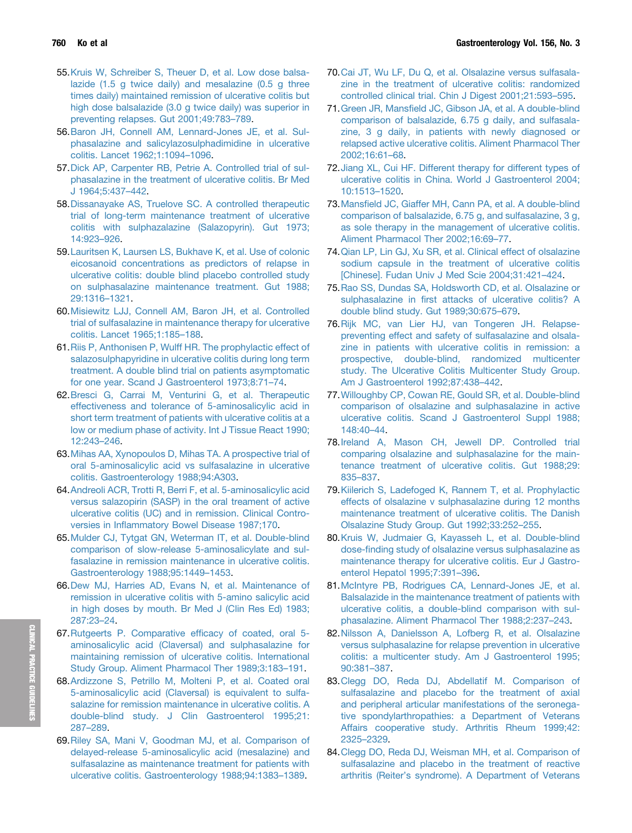- <span id="page-12-0"></span>55.[Kruis W, Schreiber S, Theuer D, et al. Low dose balsa](http://refhub.elsevier.com/S0016-5085(18)35406-4/sref55)[lazide \(1.5 g twice daily\) and mesalazine \(0.5 g three](http://refhub.elsevier.com/S0016-5085(18)35406-4/sref55) [times daily\) maintained remission of ulcerative colitis but](http://refhub.elsevier.com/S0016-5085(18)35406-4/sref55) [high dose balsalazide \(3.0 g twice daily\) was superior in](http://refhub.elsevier.com/S0016-5085(18)35406-4/sref55) [preventing relapses. Gut 2001;49:783](http://refhub.elsevier.com/S0016-5085(18)35406-4/sref55)–[789](http://refhub.elsevier.com/S0016-5085(18)35406-4/sref55).
- 56.[Baron JH, Connell AM, Lennard-Jones JE, et al. Sul](http://refhub.elsevier.com/S0016-5085(18)35406-4/sref56)[phasalazine and salicylazosulphadimidine in ulcerative](http://refhub.elsevier.com/S0016-5085(18)35406-4/sref56) [colitis. Lancet 1962;1:1094](http://refhub.elsevier.com/S0016-5085(18)35406-4/sref56)–[1096](http://refhub.elsevier.com/S0016-5085(18)35406-4/sref56).
- 57.[Dick AP, Carpenter RB, Petrie A. Controlled trial of sul](http://refhub.elsevier.com/S0016-5085(18)35406-4/sref57)[phasalazine in the treatment of ulcerative colitis. Br Med](http://refhub.elsevier.com/S0016-5085(18)35406-4/sref57) [J 1964;5:437](http://refhub.elsevier.com/S0016-5085(18)35406-4/sref57)–[442.](http://refhub.elsevier.com/S0016-5085(18)35406-4/sref57)
- 58.[Dissanayake AS, Truelove SC. A controlled therapeutic](http://refhub.elsevier.com/S0016-5085(18)35406-4/sref58) [trial of long-term maintenance treatment of ulcerative](http://refhub.elsevier.com/S0016-5085(18)35406-4/sref58) [colitis with sulphazalazine \(Salazopyrin\). Gut 1973;](http://refhub.elsevier.com/S0016-5085(18)35406-4/sref58) [14:923](http://refhub.elsevier.com/S0016-5085(18)35406-4/sref58)–[926.](http://refhub.elsevier.com/S0016-5085(18)35406-4/sref58)
- 59.[Lauritsen K, Laursen LS, Bukhave K, et al. Use of colonic](http://refhub.elsevier.com/S0016-5085(18)35406-4/sref59) [eicosanoid concentrations as predictors of relapse in](http://refhub.elsevier.com/S0016-5085(18)35406-4/sref59) [ulcerative colitis: double blind placebo controlled study](http://refhub.elsevier.com/S0016-5085(18)35406-4/sref59) [on sulphasalazine maintenance treatment. Gut 1988;](http://refhub.elsevier.com/S0016-5085(18)35406-4/sref59) [29:1316](http://refhub.elsevier.com/S0016-5085(18)35406-4/sref59)–[1321.](http://refhub.elsevier.com/S0016-5085(18)35406-4/sref59)
- 60.[Misiewitz LJJ, Connell AM, Baron JH, et al. Controlled](http://refhub.elsevier.com/S0016-5085(18)35406-4/sref60) [trial of sulfasalazine in maintenance therapy for ulcerative](http://refhub.elsevier.com/S0016-5085(18)35406-4/sref60) [colitis. Lancet 1965;1:185](http://refhub.elsevier.com/S0016-5085(18)35406-4/sref60)–[188.](http://refhub.elsevier.com/S0016-5085(18)35406-4/sref60)
- 61.[Riis P, Anthonisen P, Wulff HR. The prophylactic effect of](http://refhub.elsevier.com/S0016-5085(18)35406-4/sref61) [salazosulphapyridine in ulcerative colitis during long term](http://refhub.elsevier.com/S0016-5085(18)35406-4/sref61) [treatment. A double blind trial on patients asymptomatic](http://refhub.elsevier.com/S0016-5085(18)35406-4/sref61) [for one year. Scand J Gastroenterol 1973;8:71](http://refhub.elsevier.com/S0016-5085(18)35406-4/sref61)–[74.](http://refhub.elsevier.com/S0016-5085(18)35406-4/sref61)
- 62.[Bresci G, Carrai M, Venturini G, et al. Therapeutic](http://refhub.elsevier.com/S0016-5085(18)35406-4/sref62) [effectiveness and tolerance of 5-aminosalicylic acid in](http://refhub.elsevier.com/S0016-5085(18)35406-4/sref62) [short term treatment of patients with ulcerative colitis at a](http://refhub.elsevier.com/S0016-5085(18)35406-4/sref62) [low or medium phase of activity. Int J Tissue React 1990;](http://refhub.elsevier.com/S0016-5085(18)35406-4/sref62) [12:243](http://refhub.elsevier.com/S0016-5085(18)35406-4/sref62)–[246.](http://refhub.elsevier.com/S0016-5085(18)35406-4/sref62)
- 63.[Mihas AA, Xynopoulos D, Mihas TA. A prospective trial of](http://refhub.elsevier.com/S0016-5085(18)35406-4/sref63) [oral 5-aminosalicylic acid vs sulfasalazine in ulcerative](http://refhub.elsevier.com/S0016-5085(18)35406-4/sref63) [colitis. Gastroenterology 1988;94:A303.](http://refhub.elsevier.com/S0016-5085(18)35406-4/sref63)
- 64.[Andreoli ACR, Trotti R, Berri F, et al. 5-aminosalicylic acid](http://refhub.elsevier.com/S0016-5085(18)35406-4/sref64) [versus salazopirin \(SASP\) in the oral treament of active](http://refhub.elsevier.com/S0016-5085(18)35406-4/sref64) [ulcerative colitis \(UC\) and in remission. Clinical Contro](http://refhub.elsevier.com/S0016-5085(18)35406-4/sref64)versies in Infl[ammatory Bowel Disease 1987;170.](http://refhub.elsevier.com/S0016-5085(18)35406-4/sref64)
- 65.[Mulder CJ, Tytgat GN, Weterman IT, et al. Double-blind](http://refhub.elsevier.com/S0016-5085(18)35406-4/sref65) [comparison of slow-release 5-aminosalicylate and sul](http://refhub.elsevier.com/S0016-5085(18)35406-4/sref65)[fasalazine in remission maintenance in ulcerative colitis.](http://refhub.elsevier.com/S0016-5085(18)35406-4/sref65) [Gastroenterology 1988;95:1449](http://refhub.elsevier.com/S0016-5085(18)35406-4/sref65)–[1453.](http://refhub.elsevier.com/S0016-5085(18)35406-4/sref65)
- 66.[Dew MJ, Harries AD, Evans N, et al. Maintenance of](http://refhub.elsevier.com/S0016-5085(18)35406-4/sref66) [remission in ulcerative colitis with 5-amino salicylic acid](http://refhub.elsevier.com/S0016-5085(18)35406-4/sref66) [in high doses by mouth. Br Med J \(Clin Res Ed\) 1983;](http://refhub.elsevier.com/S0016-5085(18)35406-4/sref66) [287:23](http://refhub.elsevier.com/S0016-5085(18)35406-4/sref66)–[24.](http://refhub.elsevier.com/S0016-5085(18)35406-4/sref66)
- 67.[Rutgeerts P. Comparative ef](http://refhub.elsevier.com/S0016-5085(18)35406-4/sref67)ficacy of coated, oral 5 [aminosalicylic acid \(Claversal\) and sulphasalazine for](http://refhub.elsevier.com/S0016-5085(18)35406-4/sref67) [maintaining remission of ulcerative colitis. International](http://refhub.elsevier.com/S0016-5085(18)35406-4/sref67) [Study Group. Aliment Pharmacol Ther 1989;3:183](http://refhub.elsevier.com/S0016-5085(18)35406-4/sref67)–[191.](http://refhub.elsevier.com/S0016-5085(18)35406-4/sref67)
- 68.[Ardizzone S, Petrillo M, Molteni P, et al. Coated oral](http://refhub.elsevier.com/S0016-5085(18)35406-4/sref68) [5-aminosalicylic acid \(Claversal\) is equivalent to sulfa](http://refhub.elsevier.com/S0016-5085(18)35406-4/sref68)[salazine for remission maintenance in ulcerative colitis. A](http://refhub.elsevier.com/S0016-5085(18)35406-4/sref68) [double-blind study. J Clin Gastroenterol 1995;21:](http://refhub.elsevier.com/S0016-5085(18)35406-4/sref68) [287](http://refhub.elsevier.com/S0016-5085(18)35406-4/sref68)–[289.](http://refhub.elsevier.com/S0016-5085(18)35406-4/sref68)
- 69.[Riley SA, Mani V, Goodman MJ, et al. Comparison of](http://refhub.elsevier.com/S0016-5085(18)35406-4/sref69) [delayed-release 5-aminosalicylic acid \(mesalazine\) and](http://refhub.elsevier.com/S0016-5085(18)35406-4/sref69) [sulfasalazine as maintenance treatment for patients with](http://refhub.elsevier.com/S0016-5085(18)35406-4/sref69) [ulcerative colitis. Gastroenterology 1988;94:1383](http://refhub.elsevier.com/S0016-5085(18)35406-4/sref69)–[1389](http://refhub.elsevier.com/S0016-5085(18)35406-4/sref69).
- 70.[Cai JT, Wu LF, Du Q, et al. Olsalazine versus sulfasala](http://refhub.elsevier.com/S0016-5085(18)35406-4/sref70)[zine in the treatment of ulcerative colitis: randomized](http://refhub.elsevier.com/S0016-5085(18)35406-4/sref70) [controlled clinical trial. Chin J Digest 2001;21:593](http://refhub.elsevier.com/S0016-5085(18)35406-4/sref70)–[595.](http://refhub.elsevier.com/S0016-5085(18)35406-4/sref70)
- 71.Green JR, Mansfi[eld JC, Gibson JA, et al. A double-blind](http://refhub.elsevier.com/S0016-5085(18)35406-4/sref71) [comparison of balsalazide, 6.75 g daily, and sulfasala](http://refhub.elsevier.com/S0016-5085(18)35406-4/sref71)[zine, 3 g daily, in patients with newly diagnosed or](http://refhub.elsevier.com/S0016-5085(18)35406-4/sref71) [relapsed active ulcerative colitis. Aliment Pharmacol Ther](http://refhub.elsevier.com/S0016-5085(18)35406-4/sref71) [2002;16:61](http://refhub.elsevier.com/S0016-5085(18)35406-4/sref71)–[68](http://refhub.elsevier.com/S0016-5085(18)35406-4/sref71).
- 72.[Jiang XL, Cui HF. Different therapy for different types of](http://refhub.elsevier.com/S0016-5085(18)35406-4/sref72) [ulcerative colitis in China. World J Gastroenterol 2004;](http://refhub.elsevier.com/S0016-5085(18)35406-4/sref72) [10:1513](http://refhub.elsevier.com/S0016-5085(18)35406-4/sref72)–[1520.](http://refhub.elsevier.com/S0016-5085(18)35406-4/sref72)
- 73.Mansfi[eld JC, Giaffer MH, Cann PA, et al. A double-blind](http://refhub.elsevier.com/S0016-5085(18)35406-4/sref73) [comparison of balsalazide, 6.75 g, and sulfasalazine, 3 g,](http://refhub.elsevier.com/S0016-5085(18)35406-4/sref73) [as sole therapy in the management of ulcerative colitis.](http://refhub.elsevier.com/S0016-5085(18)35406-4/sref73) [Aliment Pharmacol Ther 2002;16:69](http://refhub.elsevier.com/S0016-5085(18)35406-4/sref73)–[77](http://refhub.elsevier.com/S0016-5085(18)35406-4/sref73).
- 74.[Qian LP, Lin GJ, Xu SR, et al. Clinical effect of olsalazine](http://refhub.elsevier.com/S0016-5085(18)35406-4/sref74) [sodium capsule in the treatment of ulcerative colitis](http://refhub.elsevier.com/S0016-5085(18)35406-4/sref74) [\[Chinese\]. Fudan Univ J Med Scie 2004;31:421](http://refhub.elsevier.com/S0016-5085(18)35406-4/sref74)–[424.](http://refhub.elsevier.com/S0016-5085(18)35406-4/sref74)
- 75.[Rao SS, Dundas SA, Holdsworth CD, et al. Olsalazine or](http://refhub.elsevier.com/S0016-5085(18)35406-4/sref75) sulphasalazine in fi[rst attacks of ulcerative colitis? A](http://refhub.elsevier.com/S0016-5085(18)35406-4/sref75) [double blind study. Gut 1989;30:675](http://refhub.elsevier.com/S0016-5085(18)35406-4/sref75)–[679](http://refhub.elsevier.com/S0016-5085(18)35406-4/sref75).
- 76.[Rijk MC, van Lier HJ, van Tongeren JH. Relapse](http://refhub.elsevier.com/S0016-5085(18)35406-4/sref76)[preventing effect and safety of sulfasalazine and olsala](http://refhub.elsevier.com/S0016-5085(18)35406-4/sref76)[zine in patients with ulcerative colitis in remission: a](http://refhub.elsevier.com/S0016-5085(18)35406-4/sref76) [prospective, double-blind, randomized multicenter](http://refhub.elsevier.com/S0016-5085(18)35406-4/sref76) [study. The Ulcerative Colitis Multicenter Study Group.](http://refhub.elsevier.com/S0016-5085(18)35406-4/sref76) [Am J Gastroenterol 1992;87:438](http://refhub.elsevier.com/S0016-5085(18)35406-4/sref76)–[442.](http://refhub.elsevier.com/S0016-5085(18)35406-4/sref76)
- 77.[Willoughby CP, Cowan RE, Gould SR, et al. Double-blind](http://refhub.elsevier.com/S0016-5085(18)35406-4/sref77) [comparison of olsalazine and sulphasalazine in active](http://refhub.elsevier.com/S0016-5085(18)35406-4/sref77) [ulcerative colitis. Scand J Gastroenterol Suppl 1988;](http://refhub.elsevier.com/S0016-5085(18)35406-4/sref77) [148:40](http://refhub.elsevier.com/S0016-5085(18)35406-4/sref77)–[44.](http://refhub.elsevier.com/S0016-5085(18)35406-4/sref77)
- 78.[Ireland A, Mason CH, Jewell DP. Controlled trial](http://refhub.elsevier.com/S0016-5085(18)35406-4/sref78) [comparing olsalazine and sulphasalazine for the main](http://refhub.elsevier.com/S0016-5085(18)35406-4/sref78)[tenance treatment of ulcerative colitis. Gut 1988;29:](http://refhub.elsevier.com/S0016-5085(18)35406-4/sref78) [835](http://refhub.elsevier.com/S0016-5085(18)35406-4/sref78)–[837.](http://refhub.elsevier.com/S0016-5085(18)35406-4/sref78)
- 79.[Kiilerich S, Ladefoged K, Rannem T, et al. Prophylactic](http://refhub.elsevier.com/S0016-5085(18)35406-4/sref79) [effects of olsalazine v sulphasalazine during 12 months](http://refhub.elsevier.com/S0016-5085(18)35406-4/sref79) [maintenance treatment of ulcerative colitis. The Danish](http://refhub.elsevier.com/S0016-5085(18)35406-4/sref79) [Olsalazine Study Group. Gut 1992;33:252](http://refhub.elsevier.com/S0016-5085(18)35406-4/sref79)–[255.](http://refhub.elsevier.com/S0016-5085(18)35406-4/sref79)
- 80.[Kruis W, Judmaier G, Kayasseh L, et al. Double-blind](http://refhub.elsevier.com/S0016-5085(18)35406-4/sref80) dose-fi[nding study of olsalazine versus sulphasalazine as](http://refhub.elsevier.com/S0016-5085(18)35406-4/sref80) [maintenance therapy for ulcerative colitis. Eur J Gastro](http://refhub.elsevier.com/S0016-5085(18)35406-4/sref80)[enterol Hepatol 1995;7:391](http://refhub.elsevier.com/S0016-5085(18)35406-4/sref80)–[396](http://refhub.elsevier.com/S0016-5085(18)35406-4/sref80).
- 81.[McIntyre PB, Rodrigues CA, Lennard-Jones JE, et al.](http://refhub.elsevier.com/S0016-5085(18)35406-4/sref81) [Balsalazide in the maintenance treatment of patients with](http://refhub.elsevier.com/S0016-5085(18)35406-4/sref81) [ulcerative colitis, a double-blind comparison with sul](http://refhub.elsevier.com/S0016-5085(18)35406-4/sref81)[phasalazine. Aliment Pharmacol Ther 1988;2:237](http://refhub.elsevier.com/S0016-5085(18)35406-4/sref81)–[243](http://refhub.elsevier.com/S0016-5085(18)35406-4/sref81).
- 82.[Nilsson A, Danielsson A, Lofberg R, et al. Olsalazine](http://refhub.elsevier.com/S0016-5085(18)35406-4/sref82) [versus sulphasalazine for relapse prevention in ulcerative](http://refhub.elsevier.com/S0016-5085(18)35406-4/sref82) [colitis: a multicenter study. Am J Gastroenterol 1995;](http://refhub.elsevier.com/S0016-5085(18)35406-4/sref82) [90:381](http://refhub.elsevier.com/S0016-5085(18)35406-4/sref82)–[387.](http://refhub.elsevier.com/S0016-5085(18)35406-4/sref82)
- 83.[Clegg DO, Reda DJ, Abdellatif M. Comparison of](http://refhub.elsevier.com/S0016-5085(18)35406-4/sref83) [sulfasalazine and placebo for the treatment of axial](http://refhub.elsevier.com/S0016-5085(18)35406-4/sref83) [and peripheral articular manifestations of the seronega](http://refhub.elsevier.com/S0016-5085(18)35406-4/sref83)[tive spondylarthropathies: a Department of Veterans](http://refhub.elsevier.com/S0016-5085(18)35406-4/sref83) [Affairs cooperative study. Arthritis Rheum 1999;42:](http://refhub.elsevier.com/S0016-5085(18)35406-4/sref83) [2325](http://refhub.elsevier.com/S0016-5085(18)35406-4/sref83)–[2329](http://refhub.elsevier.com/S0016-5085(18)35406-4/sref83).
- 84.[Clegg DO, Reda DJ, Weisman MH, et al. Comparison of](http://refhub.elsevier.com/S0016-5085(18)35406-4/sref84) [sulfasalazine and placebo in the treatment of reactive](http://refhub.elsevier.com/S0016-5085(18)35406-4/sref84) arthritis (Reiter'[s syndrome\). A Department of Veterans](http://refhub.elsevier.com/S0016-5085(18)35406-4/sref84)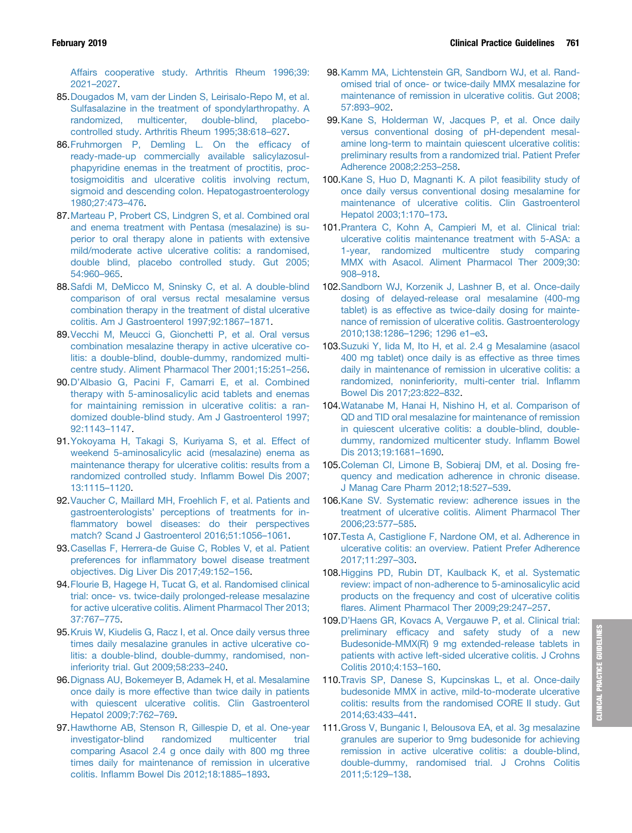<span id="page-13-0"></span>[Affairs cooperative study. Arthritis Rheum 1996;39:](http://refhub.elsevier.com/S0016-5085(18)35406-4/sref84) [2021](http://refhub.elsevier.com/S0016-5085(18)35406-4/sref84)–[2027](http://refhub.elsevier.com/S0016-5085(18)35406-4/sref84).

- 85.[Dougados M, vam der Linden S, Leirisalo-Repo M, et al.](http://refhub.elsevier.com/S0016-5085(18)35406-4/sref85) [Sulfasalazine in the treatment of spondylarthropathy. A](http://refhub.elsevier.com/S0016-5085(18)35406-4/sref85) [randomized, multicenter, double-blind, placebo](http://refhub.elsevier.com/S0016-5085(18)35406-4/sref85)[controlled study. Arthritis Rheum 1995;38:618](http://refhub.elsevier.com/S0016-5085(18)35406-4/sref85)–[627.](http://refhub.elsevier.com/S0016-5085(18)35406-4/sref85)
- 86.[Fruhmorgen P, Demling L. On the ef](http://refhub.elsevier.com/S0016-5085(18)35406-4/sref86)ficacy of [ready-made-up commercially available salicylazosul](http://refhub.elsevier.com/S0016-5085(18)35406-4/sref86)[phapyridine enemas in the treatment of proctitis, proc](http://refhub.elsevier.com/S0016-5085(18)35406-4/sref86)[tosigmoiditis and ulcerative colitis involving rectum,](http://refhub.elsevier.com/S0016-5085(18)35406-4/sref86) [sigmoid and descending colon. Hepatogastroenterology](http://refhub.elsevier.com/S0016-5085(18)35406-4/sref86) [1980;27:473](http://refhub.elsevier.com/S0016-5085(18)35406-4/sref86)–[476](http://refhub.elsevier.com/S0016-5085(18)35406-4/sref86).
- 87.[Marteau P, Probert CS, Lindgren S, et al. Combined oral](http://refhub.elsevier.com/S0016-5085(18)35406-4/sref87) [and enema treatment with Pentasa \(mesalazine\) is su](http://refhub.elsevier.com/S0016-5085(18)35406-4/sref87)[perior to oral therapy alone in patients with extensive](http://refhub.elsevier.com/S0016-5085(18)35406-4/sref87) [mild/moderate active ulcerative colitis: a randomised,](http://refhub.elsevier.com/S0016-5085(18)35406-4/sref87) [double blind, placebo controlled study. Gut 2005;](http://refhub.elsevier.com/S0016-5085(18)35406-4/sref87) [54:960](http://refhub.elsevier.com/S0016-5085(18)35406-4/sref87)–[965.](http://refhub.elsevier.com/S0016-5085(18)35406-4/sref87)
- 88.[Safdi M, DeMicco M, Sninsky C, et al. A double-blind](http://refhub.elsevier.com/S0016-5085(18)35406-4/sref88) [comparison of oral versus rectal mesalamine versus](http://refhub.elsevier.com/S0016-5085(18)35406-4/sref88) [combination therapy in the treatment of distal ulcerative](http://refhub.elsevier.com/S0016-5085(18)35406-4/sref88) [colitis. Am J Gastroenterol 1997;92:1867](http://refhub.elsevier.com/S0016-5085(18)35406-4/sref88)–[1871](http://refhub.elsevier.com/S0016-5085(18)35406-4/sref88).
- 89.[Vecchi M, Meucci G, Gionchetti P, et al. Oral versus](http://refhub.elsevier.com/S0016-5085(18)35406-4/sref89) [combination mesalazine therapy in active ulcerative co](http://refhub.elsevier.com/S0016-5085(18)35406-4/sref89)[litis: a double-blind, double-dummy, randomized multi](http://refhub.elsevier.com/S0016-5085(18)35406-4/sref89)[centre study. Aliment Pharmacol Ther 2001;15:251](http://refhub.elsevier.com/S0016-5085(18)35406-4/sref89)–[256.](http://refhub.elsevier.com/S0016-5085(18)35406-4/sref89)
- 90.D'[Albasio G, Pacini F, Camarri E, et al. Combined](http://refhub.elsevier.com/S0016-5085(18)35406-4/sref90) [therapy with 5-aminosalicylic acid tablets and enemas](http://refhub.elsevier.com/S0016-5085(18)35406-4/sref90) [for maintaining remission in ulcerative colitis: a ran](http://refhub.elsevier.com/S0016-5085(18)35406-4/sref90)[domized double-blind study. Am J Gastroenterol 1997;](http://refhub.elsevier.com/S0016-5085(18)35406-4/sref90) [92:1143](http://refhub.elsevier.com/S0016-5085(18)35406-4/sref90)–[1147.](http://refhub.elsevier.com/S0016-5085(18)35406-4/sref90)
- 91.[Yokoyama H, Takagi S, Kuriyama S, et al. Effect of](http://refhub.elsevier.com/S0016-5085(18)35406-4/sref91) [weekend 5-aminosalicylic acid \(mesalazine\) enema as](http://refhub.elsevier.com/S0016-5085(18)35406-4/sref91) [maintenance therapy for ulcerative colitis: results from a](http://refhub.elsevier.com/S0016-5085(18)35406-4/sref91) [randomized controlled study. In](http://refhub.elsevier.com/S0016-5085(18)35406-4/sref91)flamm Bowel Dis 2007; [13:1115](http://refhub.elsevier.com/S0016-5085(18)35406-4/sref91)–[1120.](http://refhub.elsevier.com/S0016-5085(18)35406-4/sref91)
- 92.[Vaucher C, Maillard MH, Froehlich F, et al. Patients and](http://refhub.elsevier.com/S0016-5085(18)35406-4/sref92) gastroenterologists' [perceptions of treatments for in](http://refhub.elsevier.com/S0016-5085(18)35406-4/sref92)fl[ammatory bowel diseases: do their perspectives](http://refhub.elsevier.com/S0016-5085(18)35406-4/sref92) [match? Scand J Gastroenterol 2016;51:1056](http://refhub.elsevier.com/S0016-5085(18)35406-4/sref92)–[1061.](http://refhub.elsevier.com/S0016-5085(18)35406-4/sref92)
- 93.[Casellas F, Herrera-de Guise C, Robles V, et al. Patient](http://refhub.elsevier.com/S0016-5085(18)35406-4/sref93) preferences for infl[ammatory bowel disease treatment](http://refhub.elsevier.com/S0016-5085(18)35406-4/sref93) [objectives. Dig Liver Dis 2017;49:152](http://refhub.elsevier.com/S0016-5085(18)35406-4/sref93)–[156.](http://refhub.elsevier.com/S0016-5085(18)35406-4/sref93)
- 94.[Flourie B, Hagege H, Tucat G, et al. Randomised clinical](http://refhub.elsevier.com/S0016-5085(18)35406-4/sref94) [trial: once- vs. twice-daily prolonged-release mesalazine](http://refhub.elsevier.com/S0016-5085(18)35406-4/sref94) [for active ulcerative colitis. Aliment Pharmacol Ther 2013;](http://refhub.elsevier.com/S0016-5085(18)35406-4/sref94) [37:767](http://refhub.elsevier.com/S0016-5085(18)35406-4/sref94)–[775.](http://refhub.elsevier.com/S0016-5085(18)35406-4/sref94)
- 95.[Kruis W, Kiudelis G, Racz I, et al. Once daily versus three](http://refhub.elsevier.com/S0016-5085(18)35406-4/sref95) [times daily mesalazine granules in active ulcerative co](http://refhub.elsevier.com/S0016-5085(18)35406-4/sref95)[litis: a double-blind, double-dummy, randomised, non](http://refhub.elsevier.com/S0016-5085(18)35406-4/sref95)[inferiority trial. Gut 2009;58:233](http://refhub.elsevier.com/S0016-5085(18)35406-4/sref95)–[240.](http://refhub.elsevier.com/S0016-5085(18)35406-4/sref95)
- 96.[Dignass AU, Bokemeyer B, Adamek H, et al. Mesalamine](http://refhub.elsevier.com/S0016-5085(18)35406-4/sref96) [once daily is more effective than twice daily in patients](http://refhub.elsevier.com/S0016-5085(18)35406-4/sref96) [with quiescent ulcerative colitis. Clin Gastroenterol](http://refhub.elsevier.com/S0016-5085(18)35406-4/sref96) [Hepatol 2009;7:762](http://refhub.elsevier.com/S0016-5085(18)35406-4/sref96)–[769](http://refhub.elsevier.com/S0016-5085(18)35406-4/sref96).
- 97.[Hawthorne AB, Stenson R, Gillespie D, et al. One-year](http://refhub.elsevier.com/S0016-5085(18)35406-4/sref97) [investigator-blind randomized multicenter trial](http://refhub.elsevier.com/S0016-5085(18)35406-4/sref97) [comparing Asacol 2.4 g once daily with 800 mg three](http://refhub.elsevier.com/S0016-5085(18)35406-4/sref97) [times daily for maintenance of remission in ulcerative](http://refhub.elsevier.com/S0016-5085(18)35406-4/sref97) colitis. Infl[amm Bowel Dis 2012;18:1885](http://refhub.elsevier.com/S0016-5085(18)35406-4/sref97)–[1893](http://refhub.elsevier.com/S0016-5085(18)35406-4/sref97).
- 98.[Kamm MA, Lichtenstein GR, Sandborn WJ, et al. Rand](http://refhub.elsevier.com/S0016-5085(18)35406-4/sref98)[omised trial of once- or twice-daily MMX mesalazine for](http://refhub.elsevier.com/S0016-5085(18)35406-4/sref98) [maintenance of remission in ulcerative colitis. Gut 2008;](http://refhub.elsevier.com/S0016-5085(18)35406-4/sref98) [57:893](http://refhub.elsevier.com/S0016-5085(18)35406-4/sref98)–[902.](http://refhub.elsevier.com/S0016-5085(18)35406-4/sref98)
- 99.[Kane S, Holderman W, Jacques P, et al. Once daily](http://refhub.elsevier.com/S0016-5085(18)35406-4/sref99) [versus conventional dosing of pH-dependent mesal](http://refhub.elsevier.com/S0016-5085(18)35406-4/sref99)[amine long-term to maintain quiescent ulcerative colitis:](http://refhub.elsevier.com/S0016-5085(18)35406-4/sref99) [preliminary results from a randomized trial. Patient Prefer](http://refhub.elsevier.com/S0016-5085(18)35406-4/sref99) [Adherence 2008;2:253](http://refhub.elsevier.com/S0016-5085(18)35406-4/sref99)–[258](http://refhub.elsevier.com/S0016-5085(18)35406-4/sref99).
- 100[.Kane S, Huo D, Magnanti K. A pilot feasibility study of](http://refhub.elsevier.com/S0016-5085(18)35406-4/sref100) [once daily versus conventional dosing mesalamine for](http://refhub.elsevier.com/S0016-5085(18)35406-4/sref100) [maintenance of ulcerative colitis. Clin Gastroenterol](http://refhub.elsevier.com/S0016-5085(18)35406-4/sref100) [Hepatol 2003;1:170](http://refhub.elsevier.com/S0016-5085(18)35406-4/sref100)–[173](http://refhub.elsevier.com/S0016-5085(18)35406-4/sref100).
- 101[.Prantera C, Kohn A, Campieri M, et al. Clinical trial:](http://refhub.elsevier.com/S0016-5085(18)35406-4/sref101) [ulcerative colitis maintenance treatment with 5-ASA: a](http://refhub.elsevier.com/S0016-5085(18)35406-4/sref101) [1-year, randomized multicentre study comparing](http://refhub.elsevier.com/S0016-5085(18)35406-4/sref101) [MMX with Asacol. Aliment Pharmacol Ther 2009;30:](http://refhub.elsevier.com/S0016-5085(18)35406-4/sref101) [908](http://refhub.elsevier.com/S0016-5085(18)35406-4/sref101)–[918.](http://refhub.elsevier.com/S0016-5085(18)35406-4/sref101)
- 102[.Sandborn WJ, Korzenik J, Lashner B, et al. Once-daily](http://refhub.elsevier.com/S0016-5085(18)35406-4/sref102) [dosing of delayed-release oral mesalamine \(400-mg](http://refhub.elsevier.com/S0016-5085(18)35406-4/sref102) [tablet\) is as effective as twice-daily dosing for mainte](http://refhub.elsevier.com/S0016-5085(18)35406-4/sref102)[nance of remission of ulcerative colitis. Gastroenterology](http://refhub.elsevier.com/S0016-5085(18)35406-4/sref102) [2010;138:1286](http://refhub.elsevier.com/S0016-5085(18)35406-4/sref102)–[1296; 1296 e1](http://refhub.elsevier.com/S0016-5085(18)35406-4/sref102)–[e3](http://refhub.elsevier.com/S0016-5085(18)35406-4/sref102).
- 103[.Suzuki Y, Iida M, Ito H, et al. 2.4 g Mesalamine \(asacol](http://refhub.elsevier.com/S0016-5085(18)35406-4/sref103) [400 mg tablet\) once daily is as effective as three times](http://refhub.elsevier.com/S0016-5085(18)35406-4/sref103) [daily in maintenance of remission in ulcerative colitis: a](http://refhub.elsevier.com/S0016-5085(18)35406-4/sref103) [randomized, noninferiority, multi-center trial. In](http://refhub.elsevier.com/S0016-5085(18)35406-4/sref103)flamm [Bowel Dis 2017;23:822](http://refhub.elsevier.com/S0016-5085(18)35406-4/sref103)–[832](http://refhub.elsevier.com/S0016-5085(18)35406-4/sref103).
- 104[.Watanabe M, Hanai H, Nishino H, et al. Comparison of](http://refhub.elsevier.com/S0016-5085(18)35406-4/sref104) [QD and TID oral mesalazine for maintenance of remission](http://refhub.elsevier.com/S0016-5085(18)35406-4/sref104) [in quiescent ulcerative colitis: a double-blind, double](http://refhub.elsevier.com/S0016-5085(18)35406-4/sref104)[dummy, randomized multicenter study. In](http://refhub.elsevier.com/S0016-5085(18)35406-4/sref104)flamm Bowel [Dis 2013;19:1681](http://refhub.elsevier.com/S0016-5085(18)35406-4/sref104)–[1690.](http://refhub.elsevier.com/S0016-5085(18)35406-4/sref104)
- 105[.Coleman CI, Limone B, Sobieraj DM, et al. Dosing fre](http://refhub.elsevier.com/S0016-5085(18)35406-4/sref105)[quency and medication adherence in chronic disease.](http://refhub.elsevier.com/S0016-5085(18)35406-4/sref105) [J Manag Care Pharm 2012;18:527](http://refhub.elsevier.com/S0016-5085(18)35406-4/sref105)–[539.](http://refhub.elsevier.com/S0016-5085(18)35406-4/sref105)
- 106[.Kane SV. Systematic review: adherence issues in the](http://refhub.elsevier.com/S0016-5085(18)35406-4/sref106) [treatment of ulcerative colitis. Aliment Pharmacol Ther](http://refhub.elsevier.com/S0016-5085(18)35406-4/sref106) [2006;23:577](http://refhub.elsevier.com/S0016-5085(18)35406-4/sref106)–[585](http://refhub.elsevier.com/S0016-5085(18)35406-4/sref106).
- 107[.Testa A, Castiglione F, Nardone OM, et al. Adherence in](http://refhub.elsevier.com/S0016-5085(18)35406-4/sref107) [ulcerative colitis: an overview. Patient Prefer Adherence](http://refhub.elsevier.com/S0016-5085(18)35406-4/sref107) [2017;11:297](http://refhub.elsevier.com/S0016-5085(18)35406-4/sref107)–[303](http://refhub.elsevier.com/S0016-5085(18)35406-4/sref107).
- 108[.Higgins PD, Rubin DT, Kaulback K, et al. Systematic](http://refhub.elsevier.com/S0016-5085(18)35406-4/sref108) [review: impact of non-adherence to 5-aminosalicylic acid](http://refhub.elsevier.com/S0016-5085(18)35406-4/sref108) [products on the frequency and cost of ulcerative colitis](http://refhub.elsevier.com/S0016-5085(18)35406-4/sref108) fl[ares. Aliment Pharmacol Ther 2009;29:247](http://refhub.elsevier.com/S0016-5085(18)35406-4/sref108)–[257.](http://refhub.elsevier.com/S0016-5085(18)35406-4/sref108)
- 109.D'[Haens GR, Kovacs A, Vergauwe P, et al. Clinical trial:](http://refhub.elsevier.com/S0016-5085(18)35406-4/sref109) preliminary effi[cacy and safety study of a new](http://refhub.elsevier.com/S0016-5085(18)35406-4/sref109) [Budesonide-MMX\(R\) 9 mg extended-release tablets in](http://refhub.elsevier.com/S0016-5085(18)35406-4/sref109) [patients with active left-sided ulcerative colitis. J Crohns](http://refhub.elsevier.com/S0016-5085(18)35406-4/sref109) [Colitis 2010;4:153](http://refhub.elsevier.com/S0016-5085(18)35406-4/sref109)–[160.](http://refhub.elsevier.com/S0016-5085(18)35406-4/sref109)
- 110[.Travis SP, Danese S, Kupcinskas L, et al. Once-daily](http://refhub.elsevier.com/S0016-5085(18)35406-4/sref110) [budesonide MMX in active, mild-to-moderate ulcerative](http://refhub.elsevier.com/S0016-5085(18)35406-4/sref110) [colitis: results from the randomised CORE II study. Gut](http://refhub.elsevier.com/S0016-5085(18)35406-4/sref110) [2014;63:433](http://refhub.elsevier.com/S0016-5085(18)35406-4/sref110)–[441](http://refhub.elsevier.com/S0016-5085(18)35406-4/sref110).
- 111[.Gross V, Bunganic I, Belousova EA, et al. 3g mesalazine](http://refhub.elsevier.com/S0016-5085(18)35406-4/sref111) [granules are superior to 9mg budesonide for achieving](http://refhub.elsevier.com/S0016-5085(18)35406-4/sref111) [remission in active ulcerative colitis: a double-blind,](http://refhub.elsevier.com/S0016-5085(18)35406-4/sref111) [double-dummy, randomised trial. J Crohns Colitis](http://refhub.elsevier.com/S0016-5085(18)35406-4/sref111) [2011;5:129](http://refhub.elsevier.com/S0016-5085(18)35406-4/sref111)–[138](http://refhub.elsevier.com/S0016-5085(18)35406-4/sref111).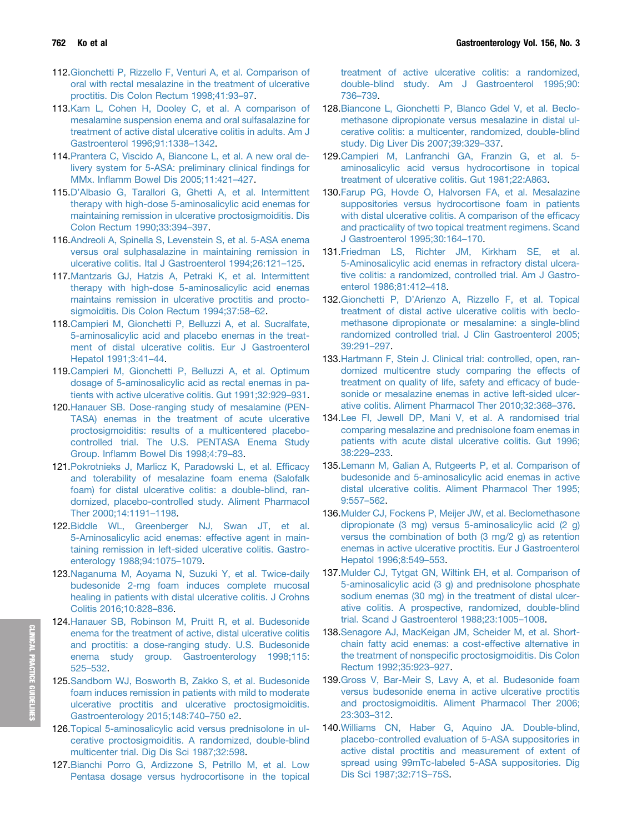- <span id="page-14-0"></span>112[.Gionchetti P, Rizzello F, Venturi A, et al. Comparison of](http://refhub.elsevier.com/S0016-5085(18)35406-4/sref112) [oral with rectal mesalazine in the treatment of ulcerative](http://refhub.elsevier.com/S0016-5085(18)35406-4/sref112) [proctitis. Dis Colon Rectum 1998;41:93](http://refhub.elsevier.com/S0016-5085(18)35406-4/sref112)–[97.](http://refhub.elsevier.com/S0016-5085(18)35406-4/sref112)
- 113[.Kam L, Cohen H, Dooley C, et al. A comparison of](http://refhub.elsevier.com/S0016-5085(18)35406-4/sref113) [mesalamine suspension enema and oral sulfasalazine for](http://refhub.elsevier.com/S0016-5085(18)35406-4/sref113) [treatment of active distal ulcerative colitis in adults. Am J](http://refhub.elsevier.com/S0016-5085(18)35406-4/sref113) [Gastroenterol 1996;91:1338](http://refhub.elsevier.com/S0016-5085(18)35406-4/sref113)–[1342.](http://refhub.elsevier.com/S0016-5085(18)35406-4/sref113)
- 114[.Prantera C, Viscido A, Biancone L, et al. A new oral de](http://refhub.elsevier.com/S0016-5085(18)35406-4/sref114)[livery system for 5-ASA: preliminary clinical](http://refhub.elsevier.com/S0016-5085(18)35406-4/sref114) findings for MMx. Infl[amm Bowel Dis 2005;11:421](http://refhub.elsevier.com/S0016-5085(18)35406-4/sref114)–[427](http://refhub.elsevier.com/S0016-5085(18)35406-4/sref114).
- 115.D'[Albasio G, Tarallori G, Ghetti A, et al. Intermittent](http://refhub.elsevier.com/S0016-5085(18)35406-4/sref115) [therapy with high-dose 5-aminosalicylic acid enemas for](http://refhub.elsevier.com/S0016-5085(18)35406-4/sref115) [maintaining remission in ulcerative proctosigmoiditis. Dis](http://refhub.elsevier.com/S0016-5085(18)35406-4/sref115) [Colon Rectum 1990;33:394](http://refhub.elsevier.com/S0016-5085(18)35406-4/sref115)–[397.](http://refhub.elsevier.com/S0016-5085(18)35406-4/sref115)
- 116[.Andreoli A, Spinella S, Levenstein S, et al. 5-ASA enema](http://refhub.elsevier.com/S0016-5085(18)35406-4/sref116) [versus oral sulphasalazine in maintaining remission in](http://refhub.elsevier.com/S0016-5085(18)35406-4/sref116) [ulcerative colitis. Ital J Gastroenterol 1994;26:121](http://refhub.elsevier.com/S0016-5085(18)35406-4/sref116)–[125.](http://refhub.elsevier.com/S0016-5085(18)35406-4/sref116)
- 117[.Mantzaris GJ, Hatzis A, Petraki K, et al. Intermittent](http://refhub.elsevier.com/S0016-5085(18)35406-4/sref117) [therapy with high-dose 5-aminosalicylic acid enemas](http://refhub.elsevier.com/S0016-5085(18)35406-4/sref117) [maintains remission in ulcerative proctitis and procto](http://refhub.elsevier.com/S0016-5085(18)35406-4/sref117)[sigmoiditis. Dis Colon Rectum 1994;37:58](http://refhub.elsevier.com/S0016-5085(18)35406-4/sref117)–[62](http://refhub.elsevier.com/S0016-5085(18)35406-4/sref117).
- 118[.Campieri M, Gionchetti P, Belluzzi A, et al. Sucralfate,](http://refhub.elsevier.com/S0016-5085(18)35406-4/sref118) [5-aminosalicylic acid and placebo enemas in the treat](http://refhub.elsevier.com/S0016-5085(18)35406-4/sref118)[ment of distal ulcerative colitis. Eur J Gastroenterol](http://refhub.elsevier.com/S0016-5085(18)35406-4/sref118) [Hepatol 1991;3:41](http://refhub.elsevier.com/S0016-5085(18)35406-4/sref118)–[44](http://refhub.elsevier.com/S0016-5085(18)35406-4/sref118).
- 119[.Campieri M, Gionchetti P, Belluzzi A, et al. Optimum](http://refhub.elsevier.com/S0016-5085(18)35406-4/sref119) [dosage of 5-aminosalicylic acid as rectal enemas in pa](http://refhub.elsevier.com/S0016-5085(18)35406-4/sref119)[tients with active ulcerative colitis. Gut 1991;32:929](http://refhub.elsevier.com/S0016-5085(18)35406-4/sref119)–[931.](http://refhub.elsevier.com/S0016-5085(18)35406-4/sref119)
- 120[.Hanauer SB. Dose-ranging study of mesalamine \(PEN-](http://refhub.elsevier.com/S0016-5085(18)35406-4/sref120)[TASA\) enemas in the treatment of acute ulcerative](http://refhub.elsevier.com/S0016-5085(18)35406-4/sref120) [proctosigmoiditis: results of a multicentered placebo](http://refhub.elsevier.com/S0016-5085(18)35406-4/sref120)[controlled trial. The U.S. PENTASA Enema Study](http://refhub.elsevier.com/S0016-5085(18)35406-4/sref120) Group. Infl[amm Bowel Dis 1998;4:79](http://refhub.elsevier.com/S0016-5085(18)35406-4/sref120)–[83](http://refhub.elsevier.com/S0016-5085(18)35406-4/sref120).
- 121[.Pokrotnieks J, Marlicz K, Paradowski L, et al. Ef](http://refhub.elsevier.com/S0016-5085(18)35406-4/sref121)ficacy [and tolerability of mesalazine foam enema \(Salofalk](http://refhub.elsevier.com/S0016-5085(18)35406-4/sref121) [foam\) for distal ulcerative colitis: a double-blind, ran](http://refhub.elsevier.com/S0016-5085(18)35406-4/sref121)[domized, placebo-controlled study. Aliment Pharmacol](http://refhub.elsevier.com/S0016-5085(18)35406-4/sref121) [Ther 2000;14:1191](http://refhub.elsevier.com/S0016-5085(18)35406-4/sref121)–[1198.](http://refhub.elsevier.com/S0016-5085(18)35406-4/sref121)
- 122[.Biddle WL, Greenberger NJ, Swan JT, et al.](http://refhub.elsevier.com/S0016-5085(18)35406-4/sref122) [5-Aminosalicylic acid enemas: effective agent in main](http://refhub.elsevier.com/S0016-5085(18)35406-4/sref122)[taining remission in left-sided ulcerative colitis. Gastro](http://refhub.elsevier.com/S0016-5085(18)35406-4/sref122)[enterology 1988;94:1075](http://refhub.elsevier.com/S0016-5085(18)35406-4/sref122)–[1079.](http://refhub.elsevier.com/S0016-5085(18)35406-4/sref122)
- 123[.Naganuma M, Aoyama N, Suzuki Y, et al. Twice-daily](http://refhub.elsevier.com/S0016-5085(18)35406-4/sref123) [budesonide 2-mg foam induces complete mucosal](http://refhub.elsevier.com/S0016-5085(18)35406-4/sref123) [healing in patients with distal ulcerative colitis. J Crohns](http://refhub.elsevier.com/S0016-5085(18)35406-4/sref123) [Colitis 2016;10:828](http://refhub.elsevier.com/S0016-5085(18)35406-4/sref123)–[836.](http://refhub.elsevier.com/S0016-5085(18)35406-4/sref123)
- 124[.Hanauer SB, Robinson M, Pruitt R, et al. Budesonide](http://refhub.elsevier.com/S0016-5085(18)35406-4/sref124) [enema for the treatment of active, distal ulcerative colitis](http://refhub.elsevier.com/S0016-5085(18)35406-4/sref124) [and proctitis: a dose-ranging study. U.S. Budesonide](http://refhub.elsevier.com/S0016-5085(18)35406-4/sref124) [enema study group. Gastroenterology 1998;115:](http://refhub.elsevier.com/S0016-5085(18)35406-4/sref124) [525](http://refhub.elsevier.com/S0016-5085(18)35406-4/sref124)–[532.](http://refhub.elsevier.com/S0016-5085(18)35406-4/sref124)
- 125[.Sandborn WJ, Bosworth B, Zakko S, et al. Budesonide](http://refhub.elsevier.com/S0016-5085(18)35406-4/sref125) [foam induces remission in patients with mild to moderate](http://refhub.elsevier.com/S0016-5085(18)35406-4/sref125) [ulcerative proctitis and ulcerative proctosigmoiditis.](http://refhub.elsevier.com/S0016-5085(18)35406-4/sref125) [Gastroenterology 2015;148:740](http://refhub.elsevier.com/S0016-5085(18)35406-4/sref125)–[750 e2.](http://refhub.elsevier.com/S0016-5085(18)35406-4/sref125)
- 126[.Topical 5-aminosalicylic acid versus prednisolone in ul](http://refhub.elsevier.com/S0016-5085(18)35406-4/sref126)[cerative proctosigmoiditis. A randomized, double-blind](http://refhub.elsevier.com/S0016-5085(18)35406-4/sref126) [multicenter trial. Dig Dis Sci 1987;32:598](http://refhub.elsevier.com/S0016-5085(18)35406-4/sref126).
- 127[.Bianchi Porro G, Ardizzone S, Petrillo M, et al. Low](http://refhub.elsevier.com/S0016-5085(18)35406-4/sref127) [Pentasa dosage versus hydrocortisone in the topical](http://refhub.elsevier.com/S0016-5085(18)35406-4/sref127)

[treatment of active ulcerative colitis: a randomized,](http://refhub.elsevier.com/S0016-5085(18)35406-4/sref127) [double-blind study. Am J Gastroenterol 1995;90:](http://refhub.elsevier.com/S0016-5085(18)35406-4/sref127) [736](http://refhub.elsevier.com/S0016-5085(18)35406-4/sref127)–[739.](http://refhub.elsevier.com/S0016-5085(18)35406-4/sref127)

- 128[.Biancone L, Gionchetti P, Blanco Gdel V, et al. Beclo](http://refhub.elsevier.com/S0016-5085(18)35406-4/sref128)[methasone dipropionate versus mesalazine in distal ul](http://refhub.elsevier.com/S0016-5085(18)35406-4/sref128)[cerative colitis: a multicenter, randomized, double-blind](http://refhub.elsevier.com/S0016-5085(18)35406-4/sref128) [study. Dig Liver Dis 2007;39:329](http://refhub.elsevier.com/S0016-5085(18)35406-4/sref128)–[337](http://refhub.elsevier.com/S0016-5085(18)35406-4/sref128).
- 129[.Campieri M, Lanfranchi GA, Franzin G, et al. 5](http://refhub.elsevier.com/S0016-5085(18)35406-4/sref129) [aminosalicylic acid versus hydrocortisone in topical](http://refhub.elsevier.com/S0016-5085(18)35406-4/sref129) [treatment of ulcerative colitis. Gut 1981;22:A863](http://refhub.elsevier.com/S0016-5085(18)35406-4/sref129).
- 130[.Farup PG, Hovde O, Halvorsen FA, et al. Mesalazine](http://refhub.elsevier.com/S0016-5085(18)35406-4/sref130) [suppositories versus hydrocortisone foam in patients](http://refhub.elsevier.com/S0016-5085(18)35406-4/sref130) [with distal ulcerative colitis. A comparison of the ef](http://refhub.elsevier.com/S0016-5085(18)35406-4/sref130)ficacy [and practicality of two topical treatment regimens. Scand](http://refhub.elsevier.com/S0016-5085(18)35406-4/sref130) [J Gastroenterol 1995;30:164](http://refhub.elsevier.com/S0016-5085(18)35406-4/sref130)–[170.](http://refhub.elsevier.com/S0016-5085(18)35406-4/sref130)
- 131[.Friedman LS, Richter JM, Kirkham SE, et al.](http://refhub.elsevier.com/S0016-5085(18)35406-4/sref131) [5-Aminosalicylic acid enemas in refractory distal ulcera](http://refhub.elsevier.com/S0016-5085(18)35406-4/sref131)[tive colitis: a randomized, controlled trial. Am J Gastro](http://refhub.elsevier.com/S0016-5085(18)35406-4/sref131)[enterol 1986;81:412](http://refhub.elsevier.com/S0016-5085(18)35406-4/sref131)–[418](http://refhub.elsevier.com/S0016-5085(18)35406-4/sref131).
- 132.Gionchetti P, D'[Arienzo A, Rizzello F, et al. Topical](http://refhub.elsevier.com/S0016-5085(18)35406-4/sref132) [treatment of distal active ulcerative colitis with beclo](http://refhub.elsevier.com/S0016-5085(18)35406-4/sref132)[methasone dipropionate or mesalamine: a single-blind](http://refhub.elsevier.com/S0016-5085(18)35406-4/sref132) [randomized controlled trial. J Clin Gastroenterol 2005;](http://refhub.elsevier.com/S0016-5085(18)35406-4/sref132) [39:291](http://refhub.elsevier.com/S0016-5085(18)35406-4/sref132)–[297.](http://refhub.elsevier.com/S0016-5085(18)35406-4/sref132)
- 133[.Hartmann F, Stein J. Clinical trial: controlled, open, ran](http://refhub.elsevier.com/S0016-5085(18)35406-4/sref133)[domized multicentre study comparing the effects of](http://refhub.elsevier.com/S0016-5085(18)35406-4/sref133) [treatment on quality of life, safety and ef](http://refhub.elsevier.com/S0016-5085(18)35406-4/sref133)ficacy of bude[sonide or mesalazine enemas in active left-sided ulcer](http://refhub.elsevier.com/S0016-5085(18)35406-4/sref133)[ative colitis. Aliment Pharmacol Ther 2010;32:368](http://refhub.elsevier.com/S0016-5085(18)35406-4/sref133)–[376](http://refhub.elsevier.com/S0016-5085(18)35406-4/sref133).
- 134[.Lee FI, Jewell DP, Mani V, et al. A randomised trial](http://refhub.elsevier.com/S0016-5085(18)35406-4/sref134) [comparing mesalazine and prednisolone foam enemas in](http://refhub.elsevier.com/S0016-5085(18)35406-4/sref134) [patients with acute distal ulcerative colitis. Gut 1996;](http://refhub.elsevier.com/S0016-5085(18)35406-4/sref134) [38:229](http://refhub.elsevier.com/S0016-5085(18)35406-4/sref134)–[233.](http://refhub.elsevier.com/S0016-5085(18)35406-4/sref134)
- 135[.Lemann M, Galian A, Rutgeerts P, et al. Comparison of](http://refhub.elsevier.com/S0016-5085(18)35406-4/sref135) [budesonide and 5-aminosalicylic acid enemas in active](http://refhub.elsevier.com/S0016-5085(18)35406-4/sref135) [distal ulcerative colitis. Aliment Pharmacol Ther 1995;](http://refhub.elsevier.com/S0016-5085(18)35406-4/sref135) [9:557](http://refhub.elsevier.com/S0016-5085(18)35406-4/sref135)–[562.](http://refhub.elsevier.com/S0016-5085(18)35406-4/sref135)
- 136[.Mulder CJ, Fockens P, Meijer JW, et al. Beclomethasone](http://refhub.elsevier.com/S0016-5085(18)35406-4/sref136) [dipropionate \(3 mg\) versus 5-aminosalicylic acid \(2 g\)](http://refhub.elsevier.com/S0016-5085(18)35406-4/sref136) [versus the combination of both \(3 mg/2 g\) as retention](http://refhub.elsevier.com/S0016-5085(18)35406-4/sref136) [enemas in active ulcerative proctitis. Eur J Gastroenterol](http://refhub.elsevier.com/S0016-5085(18)35406-4/sref136) [Hepatol 1996;8:549](http://refhub.elsevier.com/S0016-5085(18)35406-4/sref136)–[553](http://refhub.elsevier.com/S0016-5085(18)35406-4/sref136).
- 137[.Mulder CJ, Tytgat GN, Wiltink EH, et al. Comparison of](http://refhub.elsevier.com/S0016-5085(18)35406-4/sref137) [5-aminosalicylic acid \(3 g\) and prednisolone phosphate](http://refhub.elsevier.com/S0016-5085(18)35406-4/sref137) [sodium enemas \(30 mg\) in the treatment of distal ulcer](http://refhub.elsevier.com/S0016-5085(18)35406-4/sref137)[ative colitis. A prospective, randomized, double-blind](http://refhub.elsevier.com/S0016-5085(18)35406-4/sref137) [trial. Scand J Gastroenterol 1988;23:1005](http://refhub.elsevier.com/S0016-5085(18)35406-4/sref137)–[1008.](http://refhub.elsevier.com/S0016-5085(18)35406-4/sref137)
- 138[.Senagore AJ, MacKeigan JM, Scheider M, et al. Short](http://refhub.elsevier.com/S0016-5085(18)35406-4/sref138)[chain fatty acid enemas: a cost-effective alternative in](http://refhub.elsevier.com/S0016-5085(18)35406-4/sref138) the treatment of nonspecifi[c proctosigmoiditis. Dis Colon](http://refhub.elsevier.com/S0016-5085(18)35406-4/sref138) [Rectum 1992;35:923](http://refhub.elsevier.com/S0016-5085(18)35406-4/sref138)–[927.](http://refhub.elsevier.com/S0016-5085(18)35406-4/sref138)
- 139[.Gross V, Bar-Meir S, Lavy A, et al. Budesonide foam](http://refhub.elsevier.com/S0016-5085(18)35406-4/sref139) [versus budesonide enema in active ulcerative proctitis](http://refhub.elsevier.com/S0016-5085(18)35406-4/sref139) [and proctosigmoiditis. Aliment Pharmacol Ther 2006;](http://refhub.elsevier.com/S0016-5085(18)35406-4/sref139) [23:303](http://refhub.elsevier.com/S0016-5085(18)35406-4/sref139)–[312.](http://refhub.elsevier.com/S0016-5085(18)35406-4/sref139)
- 140[.Williams CN, Haber G, Aquino JA. Double-blind,](http://refhub.elsevier.com/S0016-5085(18)35406-4/sref140) [placebo-controlled evaluation of 5-ASA suppositories in](http://refhub.elsevier.com/S0016-5085(18)35406-4/sref140) [active distal proctitis and measurement of extent of](http://refhub.elsevier.com/S0016-5085(18)35406-4/sref140) [spread using 99mTc-labeled 5-ASA suppositories. Dig](http://refhub.elsevier.com/S0016-5085(18)35406-4/sref140) [Dis Sci 1987;32:71S](http://refhub.elsevier.com/S0016-5085(18)35406-4/sref140)–[75S.](http://refhub.elsevier.com/S0016-5085(18)35406-4/sref140)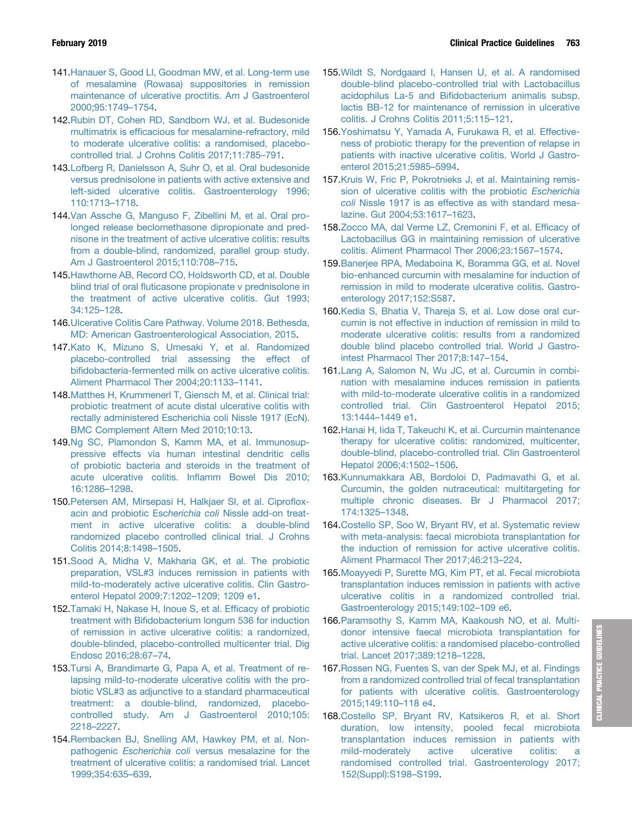- <span id="page-15-0"></span>141[.Hanauer S, Good LI, Goodman MW, et al. Long-term use](http://refhub.elsevier.com/S0016-5085(18)35406-4/sref141) [of mesalamine \(Rowasa\) suppositories in remission](http://refhub.elsevier.com/S0016-5085(18)35406-4/sref141) [maintenance of ulcerative proctitis. Am J Gastroenterol](http://refhub.elsevier.com/S0016-5085(18)35406-4/sref141) [2000;95:1749](http://refhub.elsevier.com/S0016-5085(18)35406-4/sref141)–[1754.](http://refhub.elsevier.com/S0016-5085(18)35406-4/sref141)
- 142[.Rubin DT, Cohen RD, Sandborn WJ, et al. Budesonide](http://refhub.elsevier.com/S0016-5085(18)35406-4/sref142) multimatrix is effi[cacious for mesalamine-refractory, mild](http://refhub.elsevier.com/S0016-5085(18)35406-4/sref142) [to moderate ulcerative colitis: a randomised, placebo](http://refhub.elsevier.com/S0016-5085(18)35406-4/sref142)[controlled trial. J Crohns Colitis 2017;11:785](http://refhub.elsevier.com/S0016-5085(18)35406-4/sref142)–[791](http://refhub.elsevier.com/S0016-5085(18)35406-4/sref142).
- 143[.Lofberg R, Danielsson A, Suhr O, et al. Oral budesonide](http://refhub.elsevier.com/S0016-5085(18)35406-4/sref143) [versus prednisolone in patients with active extensive and](http://refhub.elsevier.com/S0016-5085(18)35406-4/sref143) [left-sided ulcerative colitis. Gastroenterology 1996;](http://refhub.elsevier.com/S0016-5085(18)35406-4/sref143) [110:1713](http://refhub.elsevier.com/S0016-5085(18)35406-4/sref143)–[1718.](http://refhub.elsevier.com/S0016-5085(18)35406-4/sref143)
- 144[.Van Assche G, Manguso F, Zibellini M, et al. Oral pro](http://refhub.elsevier.com/S0016-5085(18)35406-4/sref144)[longed release beclomethasone dipropionate and pred](http://refhub.elsevier.com/S0016-5085(18)35406-4/sref144)[nisone in the treatment of active ulcerative colitis: results](http://refhub.elsevier.com/S0016-5085(18)35406-4/sref144) [from a double-blind, randomized, parallel group study.](http://refhub.elsevier.com/S0016-5085(18)35406-4/sref144) [Am J Gastroenterol 2015;110:708](http://refhub.elsevier.com/S0016-5085(18)35406-4/sref144)–[715.](http://refhub.elsevier.com/S0016-5085(18)35406-4/sref144)
- 145[.Hawthorne AB, Record CO, Holdsworth CD, et al. Double](http://refhub.elsevier.com/S0016-5085(18)35406-4/sref145) blind trial of oral fl[uticasone propionate v prednisolone in](http://refhub.elsevier.com/S0016-5085(18)35406-4/sref145) [the treatment of active ulcerative colitis. Gut 1993;](http://refhub.elsevier.com/S0016-5085(18)35406-4/sref145) [34:125](http://refhub.elsevier.com/S0016-5085(18)35406-4/sref145)–[128.](http://refhub.elsevier.com/S0016-5085(18)35406-4/sref145)
- 146[.Ulcerative Colitis Care Pathway. Volume 2018. Bethesda,](http://refhub.elsevier.com/S0016-5085(18)35406-4/sref146) [MD: American Gastroenterological Association, 2015](http://refhub.elsevier.com/S0016-5085(18)35406-4/sref146).
- 147[.Kato K, Mizuno S, Umesaki Y, et al. Randomized](http://refhub.elsevier.com/S0016-5085(18)35406-4/sref147) [placebo-controlled trial assessing the effect of](http://refhub.elsevier.com/S0016-5085(18)35406-4/sref147) bifi[dobacteria-fermented milk on active ulcerative colitis.](http://refhub.elsevier.com/S0016-5085(18)35406-4/sref147) [Aliment Pharmacol Ther 2004;20:1133](http://refhub.elsevier.com/S0016-5085(18)35406-4/sref147)–[1141](http://refhub.elsevier.com/S0016-5085(18)35406-4/sref147).
- 148[.Matthes H, Krummenerl T, Giensch M, et al. Clinical trial:](http://refhub.elsevier.com/S0016-5085(18)35406-4/sref148) [probiotic treatment of acute distal ulcerative colitis with](http://refhub.elsevier.com/S0016-5085(18)35406-4/sref148) [rectally administered Escherichia coli Nissle 1917 \(EcN\).](http://refhub.elsevier.com/S0016-5085(18)35406-4/sref148) [BMC Complement Altern Med 2010;10:13.](http://refhub.elsevier.com/S0016-5085(18)35406-4/sref148)
- 149[.Ng SC, Plamondon S, Kamm MA, et al. Immunosup](http://refhub.elsevier.com/S0016-5085(18)35406-4/sref149)[pressive effects via human intestinal dendritic cells](http://refhub.elsevier.com/S0016-5085(18)35406-4/sref149) [of probiotic bacteria and steroids in the treatment of](http://refhub.elsevier.com/S0016-5085(18)35406-4/sref149) [acute ulcerative colitis. In](http://refhub.elsevier.com/S0016-5085(18)35406-4/sref149)flamm Bowel Dis 2010; [16:1286](http://refhub.elsevier.com/S0016-5085(18)35406-4/sref149)–[1298.](http://refhub.elsevier.com/S0016-5085(18)35406-4/sref149)
- 150[.Petersen AM, Mirsepasi H, Halkjaer SI, et al. Cipro](http://refhub.elsevier.com/S0016-5085(18)35406-4/sref150)flox[acin and probiotic Esc](http://refhub.elsevier.com/S0016-5085(18)35406-4/sref150)herichia coli Nissle add-on treat[ment in active ulcerative colitis: a double-blind](http://refhub.elsevier.com/S0016-5085(18)35406-4/sref150) [randomized placebo controlled clinical trial. J Crohns](http://refhub.elsevier.com/S0016-5085(18)35406-4/sref150) [Colitis 2014;8:1498](http://refhub.elsevier.com/S0016-5085(18)35406-4/sref150)–[1505.](http://refhub.elsevier.com/S0016-5085(18)35406-4/sref150)
- 151[.Sood A, Midha V, Makharia GK, et al. The probiotic](http://refhub.elsevier.com/S0016-5085(18)35406-4/sref151) [preparation, VSL#3 induces remission in patients with](http://refhub.elsevier.com/S0016-5085(18)35406-4/sref151) [mild-to-moderately active ulcerative colitis. Clin Gastro](http://refhub.elsevier.com/S0016-5085(18)35406-4/sref151)[enterol Hepatol 2009;7:1202](http://refhub.elsevier.com/S0016-5085(18)35406-4/sref151)–[1209; 1209 e1](http://refhub.elsevier.com/S0016-5085(18)35406-4/sref151).
- 152[.Tamaki H, Nakase H, Inoue S, et al. Ef](http://refhub.elsevier.com/S0016-5085(18)35406-4/sref152)ficacy of probiotic treatment with Bifi[dobacterium longum 536 for induction](http://refhub.elsevier.com/S0016-5085(18)35406-4/sref152) [of remission in active ulcerative colitis: a randomized,](http://refhub.elsevier.com/S0016-5085(18)35406-4/sref152) [double-blinded, placebo-controlled multicenter trial. Dig](http://refhub.elsevier.com/S0016-5085(18)35406-4/sref152) [Endosc 2016;28:67](http://refhub.elsevier.com/S0016-5085(18)35406-4/sref152)–[74](http://refhub.elsevier.com/S0016-5085(18)35406-4/sref152).
- 153[.Tursi A, Brandimarte G, Papa A, et al. Treatment of re](http://refhub.elsevier.com/S0016-5085(18)35406-4/sref153)[lapsing mild-to-moderate ulcerative colitis with the pro](http://refhub.elsevier.com/S0016-5085(18)35406-4/sref153)[biotic VSL#3 as adjunctive to a standard pharmaceutical](http://refhub.elsevier.com/S0016-5085(18)35406-4/sref153) [treatment: a double-blind, randomized, placebo](http://refhub.elsevier.com/S0016-5085(18)35406-4/sref153)[controlled study. Am J Gastroenterol 2010;105:](http://refhub.elsevier.com/S0016-5085(18)35406-4/sref153) [2218](http://refhub.elsevier.com/S0016-5085(18)35406-4/sref153)–[2227](http://refhub.elsevier.com/S0016-5085(18)35406-4/sref153).
- 154[.Rembacken BJ, Snelling AM, Hawkey PM, et al. Non](http://refhub.elsevier.com/S0016-5085(18)35406-4/sref154)pathogenic Escherichia coli [versus mesalazine for the](http://refhub.elsevier.com/S0016-5085(18)35406-4/sref154) [treatment of ulcerative colitis: a randomised trial. Lancet](http://refhub.elsevier.com/S0016-5085(18)35406-4/sref154) [1999;354:635](http://refhub.elsevier.com/S0016-5085(18)35406-4/sref154)–[639](http://refhub.elsevier.com/S0016-5085(18)35406-4/sref154).
- 155[.Wildt S, Nordgaard I, Hansen U, et al. A randomised](http://refhub.elsevier.com/S0016-5085(18)35406-4/sref155) [double-blind placebo-controlled trial with Lactobacillus](http://refhub.elsevier.com/S0016-5085(18)35406-4/sref155) acidophilus La-5 and Bifi[dobacterium animalis subsp.](http://refhub.elsevier.com/S0016-5085(18)35406-4/sref155) [lactis BB-12 for maintenance of remission in ulcerative](http://refhub.elsevier.com/S0016-5085(18)35406-4/sref155) [colitis. J Crohns Colitis 2011;5:115](http://refhub.elsevier.com/S0016-5085(18)35406-4/sref155)–[121.](http://refhub.elsevier.com/S0016-5085(18)35406-4/sref155)
- 156[.Yoshimatsu Y, Yamada A, Furukawa R, et al. Effective](http://refhub.elsevier.com/S0016-5085(18)35406-4/sref156)[ness of probiotic therapy for the prevention of relapse in](http://refhub.elsevier.com/S0016-5085(18)35406-4/sref156) [patients with inactive ulcerative colitis. World J Gastro](http://refhub.elsevier.com/S0016-5085(18)35406-4/sref156)[enterol 2015;21:5985](http://refhub.elsevier.com/S0016-5085(18)35406-4/sref156)–[5994](http://refhub.elsevier.com/S0016-5085(18)35406-4/sref156).
- 157[.Kruis W, Fric P, Pokrotnieks J, et al. Maintaining remis](http://refhub.elsevier.com/S0016-5085(18)35406-4/sref157)[sion of ulcerative colitis with the probiotic](http://refhub.elsevier.com/S0016-5085(18)35406-4/sref157) Escherichia coli [Nissle 1917 is as effective as with standard mesa](http://refhub.elsevier.com/S0016-5085(18)35406-4/sref157)[lazine. Gut 2004;53:1617](http://refhub.elsevier.com/S0016-5085(18)35406-4/sref157)–[1623.](http://refhub.elsevier.com/S0016-5085(18)35406-4/sref157)
- 158[.Zocco MA, dal Verme LZ, Cremonini F, et al. Ef](http://refhub.elsevier.com/S0016-5085(18)35406-4/sref158)ficacy of [Lactobacillus GG in maintaining remission of ulcerative](http://refhub.elsevier.com/S0016-5085(18)35406-4/sref158) [colitis. Aliment Pharmacol Ther 2006;23:1567](http://refhub.elsevier.com/S0016-5085(18)35406-4/sref158)–[1574](http://refhub.elsevier.com/S0016-5085(18)35406-4/sref158).
- 159[.Banerjee RPA, Medaboina K, Boramma GG, et al. Novel](http://refhub.elsevier.com/S0016-5085(18)35406-4/sref159) [bio-enhanced curcumin with mesalamine for induction of](http://refhub.elsevier.com/S0016-5085(18)35406-4/sref159) [remission in mild to moderate ulcerative colitis. Gastro](http://refhub.elsevier.com/S0016-5085(18)35406-4/sref159)[enterology 2017;152:S587.](http://refhub.elsevier.com/S0016-5085(18)35406-4/sref159)
- 160[.Kedia S, Bhatia V, Thareja S, et al. Low dose oral cur](http://refhub.elsevier.com/S0016-5085(18)35406-4/sref160)[cumin is not effective in induction of remission in mild to](http://refhub.elsevier.com/S0016-5085(18)35406-4/sref160) [moderate ulcerative colitis: results from a randomized](http://refhub.elsevier.com/S0016-5085(18)35406-4/sref160) [double blind placebo controlled trial. World J Gastro](http://refhub.elsevier.com/S0016-5085(18)35406-4/sref160)[intest Pharmacol Ther 2017;8:147](http://refhub.elsevier.com/S0016-5085(18)35406-4/sref160)–[154](http://refhub.elsevier.com/S0016-5085(18)35406-4/sref160).
- 161[.Lang A, Salomon N, Wu JC, et al. Curcumin in combi](http://refhub.elsevier.com/S0016-5085(18)35406-4/sref161)[nation with mesalamine induces remission in patients](http://refhub.elsevier.com/S0016-5085(18)35406-4/sref161) [with mild-to-moderate ulcerative colitis in a randomized](http://refhub.elsevier.com/S0016-5085(18)35406-4/sref161) [controlled trial. Clin Gastroenterol Hepatol 2015;](http://refhub.elsevier.com/S0016-5085(18)35406-4/sref161) [13:1444](http://refhub.elsevier.com/S0016-5085(18)35406-4/sref161)–[1449 e1](http://refhub.elsevier.com/S0016-5085(18)35406-4/sref161).
- 162[.Hanai H, Iida T, Takeuchi K, et al. Curcumin maintenance](http://refhub.elsevier.com/S0016-5085(18)35406-4/sref162) [therapy for ulcerative colitis: randomized, multicenter,](http://refhub.elsevier.com/S0016-5085(18)35406-4/sref162) [double-blind, placebo-controlled trial. Clin Gastroenterol](http://refhub.elsevier.com/S0016-5085(18)35406-4/sref162) [Hepatol 2006;4:1502](http://refhub.elsevier.com/S0016-5085(18)35406-4/sref162)–[1506](http://refhub.elsevier.com/S0016-5085(18)35406-4/sref162).
- 163[.Kunnumakkara AB, Bordoloi D, Padmavathi G, et al.](http://refhub.elsevier.com/S0016-5085(18)35406-4/sref163) [Curcumin, the golden nutraceutical: multitargeting for](http://refhub.elsevier.com/S0016-5085(18)35406-4/sref163) [multiple chronic diseases. Br J Pharmacol 2017;](http://refhub.elsevier.com/S0016-5085(18)35406-4/sref163) [174:1325](http://refhub.elsevier.com/S0016-5085(18)35406-4/sref163)–[1348.](http://refhub.elsevier.com/S0016-5085(18)35406-4/sref163)
- 164[.Costello SP, Soo W, Bryant RV, et al. Systematic review](http://refhub.elsevier.com/S0016-5085(18)35406-4/sref164) [with meta-analysis: faecal microbiota transplantation for](http://refhub.elsevier.com/S0016-5085(18)35406-4/sref164) [the induction of remission for active ulcerative colitis.](http://refhub.elsevier.com/S0016-5085(18)35406-4/sref164) [Aliment Pharmacol Ther 2017;46:213](http://refhub.elsevier.com/S0016-5085(18)35406-4/sref164)–[224](http://refhub.elsevier.com/S0016-5085(18)35406-4/sref164).
- 165[.Moayyedi P, Surette MG, Kim PT, et al. Fecal microbiota](http://refhub.elsevier.com/S0016-5085(18)35406-4/sref165) [transplantation induces remission in patients with active](http://refhub.elsevier.com/S0016-5085(18)35406-4/sref165) [ulcerative colitis in a randomized controlled trial.](http://refhub.elsevier.com/S0016-5085(18)35406-4/sref165) [Gastroenterology 2015;149:102](http://refhub.elsevier.com/S0016-5085(18)35406-4/sref165)–[109 e6.](http://refhub.elsevier.com/S0016-5085(18)35406-4/sref165)
- 166[.Paramsothy S, Kamm MA, Kaakoush NO, et al. Multi](http://refhub.elsevier.com/S0016-5085(18)35406-4/sref166)[donor intensive faecal microbiota transplantation for](http://refhub.elsevier.com/S0016-5085(18)35406-4/sref166) [active ulcerative colitis: a randomised placebo-controlled](http://refhub.elsevier.com/S0016-5085(18)35406-4/sref166) [trial. Lancet 2017;389:1218](http://refhub.elsevier.com/S0016-5085(18)35406-4/sref166)–[1228.](http://refhub.elsevier.com/S0016-5085(18)35406-4/sref166)
- 167[.Rossen NG, Fuentes S, van der Spek MJ, et al. Findings](http://refhub.elsevier.com/S0016-5085(18)35406-4/sref167) [from a randomized controlled trial of fecal transplantation](http://refhub.elsevier.com/S0016-5085(18)35406-4/sref167) [for patients with ulcerative colitis. Gastroenterology](http://refhub.elsevier.com/S0016-5085(18)35406-4/sref167) [2015;149:110](http://refhub.elsevier.com/S0016-5085(18)35406-4/sref167)–[118 e4.](http://refhub.elsevier.com/S0016-5085(18)35406-4/sref167)
- 168[.Costello SP, Bryant RV, Katsikeros R, et al. Short](http://refhub.elsevier.com/S0016-5085(18)35406-4/sref168) [duration, low intensity, pooled fecal microbiota](http://refhub.elsevier.com/S0016-5085(18)35406-4/sref168) [transplantation induces remission in patients with](http://refhub.elsevier.com/S0016-5085(18)35406-4/sref168) [mild-moderately active ulcerative colitis: a](http://refhub.elsevier.com/S0016-5085(18)35406-4/sref168) [randomised controlled trial. Gastroenterology 2017;](http://refhub.elsevier.com/S0016-5085(18)35406-4/sref168) [152\(Suppl\):S198](http://refhub.elsevier.com/S0016-5085(18)35406-4/sref168)–[S199.](http://refhub.elsevier.com/S0016-5085(18)35406-4/sref168)